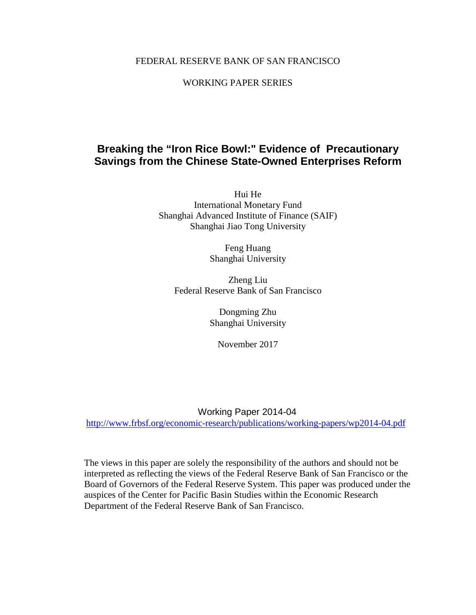# FEDERAL RESERVE BANK OF SAN FRANCISCO

# WORKING PAPER SERIES

# **Breaking the "Iron Rice Bowl:" Evidence of Precautionary Savings from the Chinese State-Owned Enterprises Reform**

Hui He International Monetary Fund Shanghai Advanced Institute of Finance (SAIF) Shanghai Jiao Tong University

> Feng Huang Shanghai University

Zheng Liu Federal Reserve Bank of San Francisco

> Dongming Zhu Shanghai University

November 2017

## Working Paper 2014-04

<http://www.frbsf.org/economic-research/publications/working-papers/wp2014-04.pdf>

The views in this paper are solely the responsibility of the authors and should not be interpreted as reflecting the views of the Federal Reserve Bank of San Francisco or the Board of Governors of the Federal Reserve System. This paper was produced under the auspices of the Center for Pacific Basin Studies within the Economic Research Department of the Federal Reserve Bank of San Francisco.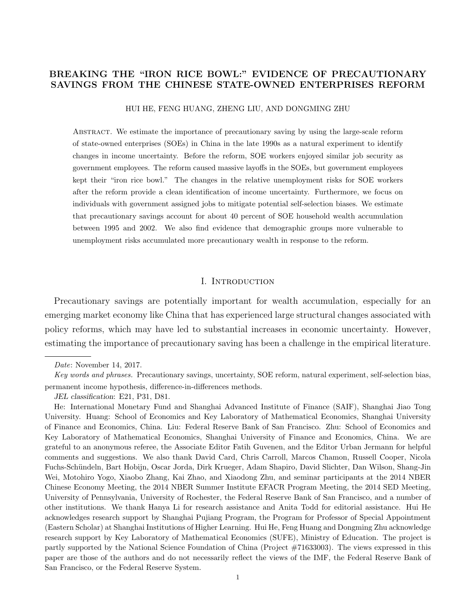## BREAKING THE "IRON RICE BOWL:" EVIDENCE OF PRECAUTIONARY SAVINGS FROM THE CHINESE STATE-OWNED ENTERPRISES REFORM

HUI HE, FENG HUANG, ZHENG LIU, AND DONGMING ZHU

Abstract. We estimate the importance of precautionary saving by using the large-scale reform of state-owned enterprises (SOEs) in China in the late 1990s as a natural experiment to identify changes in income uncertainty. Before the reform, SOE workers enjoyed similar job security as government employees. The reform caused massive layoffs in the SOEs, but government employees kept their "iron rice bowl." The changes in the relative unemployment risks for SOE workers after the reform provide a clean identification of income uncertainty. Furthermore, we focus on individuals with government assigned jobs to mitigate potential self-selection biases. We estimate that precautionary savings account for about 40 percent of SOE household wealth accumulation between 1995 and 2002. We also find evidence that demographic groups more vulnerable to unemployment risks accumulated more precautionary wealth in response to the reform.

## I. INTRODUCTION

Precautionary savings are potentially important for wealth accumulation, especially for an emerging market economy like China that has experienced large structural changes associated with policy reforms, which may have led to substantial increases in economic uncertainty. However, estimating the importance of precautionary saving has been a challenge in the empirical literature.

Date: November 14, 2017.

Key words and phrases. Precautionary savings, uncertainty, SOE reform, natural experiment, self-selection bias, permanent income hypothesis, difference-in-differences methods.

JEL classification: E21, P31, D81.

He: International Monetary Fund and Shanghai Advanced Institute of Finance (SAIF), Shanghai Jiao Tong University. Huang: School of Economics and Key Laboratory of Mathematical Economics, Shanghai University of Finance and Economics, China. Liu: Federal Reserve Bank of San Francisco. Zhu: School of Economics and Key Laboratory of Mathematical Economics, Shanghai University of Finance and Economics, China. We are grateful to an anonymous referee, the Associate Editor Fatih Guvenen, and the Editor Urban Jermann for helpful comments and suggestions. We also thank David Card, Chris Carroll, Marcos Chamon, Russell Cooper, Nicola Fuchs-Sch¨undeln, Bart Hobijn, Oscar Jorda, Dirk Krueger, Adam Shapiro, David Slichter, Dan Wilson, Shang-Jin Wei, Motohiro Yogo, Xiaobo Zhang, Kai Zhao, and Xiaodong Zhu, and seminar participants at the 2014 NBER Chinese Economy Meeting, the 2014 NBER Summer Institute EFACR Program Meeting, the 2014 SED Meeting, University of Pennsylvania, University of Rochester, the Federal Reserve Bank of San Francisco, and a number of other institutions. We thank Hanya Li for research assistance and Anita Todd for editorial assistance. Hui He acknowledges research support by Shanghai Pujiang Program, the Program for Professor of Special Appointment (Eastern Scholar) at Shanghai Institutions of Higher Learning. Hui He, Feng Huang and Dongming Zhu acknowledge research support by Key Laboratory of Mathematical Economics (SUFE), Ministry of Education. The project is partly supported by the National Science Foundation of China (Project #71633003). The views expressed in this paper are those of the authors and do not necessarily reflect the views of the IMF, the Federal Reserve Bank of San Francisco, or the Federal Reserve System.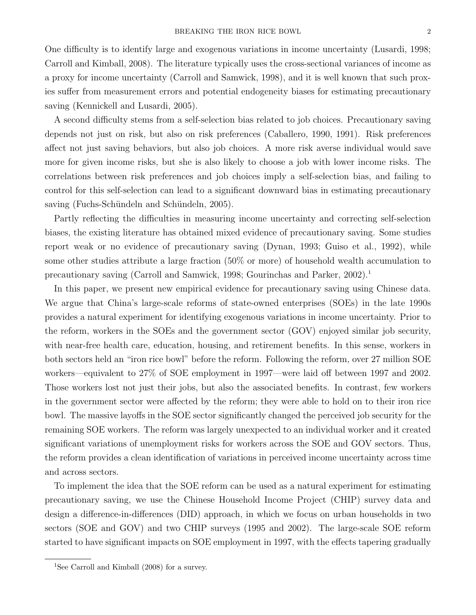One difficulty is to identify large and exogenous variations in income uncertainty (Lusardi, 1998; Carroll and Kimball, 2008). The literature typically uses the cross-sectional variances of income as a proxy for income uncertainty (Carroll and Samwick, 1998), and it is well known that such proxies suffer from measurement errors and potential endogeneity biases for estimating precautionary saving (Kennickell and Lusardi, 2005).

A second difficulty stems from a self-selection bias related to job choices. Precautionary saving depends not just on risk, but also on risk preferences (Caballero, 1990, 1991). Risk preferences affect not just saving behaviors, but also job choices. A more risk averse individual would save more for given income risks, but she is also likely to choose a job with lower income risks. The correlations between risk preferences and job choices imply a self-selection bias, and failing to control for this self-selection can lead to a significant downward bias in estimating precautionary saving (Fuchs-Schündeln and Schündeln, 2005).

Partly reflecting the difficulties in measuring income uncertainty and correcting self-selection biases, the existing literature has obtained mixed evidence of precautionary saving. Some studies report weak or no evidence of precautionary saving (Dynan, 1993; Guiso et al., 1992), while some other studies attribute a large fraction (50% or more) of household wealth accumulation to precautionary saving (Carroll and Samwick, 1998; Gourinchas and Parker,  $2002$ ).<sup>1</sup>

In this paper, we present new empirical evidence for precautionary saving using Chinese data. We argue that China's large-scale reforms of state-owned enterprises (SOEs) in the late 1990s provides a natural experiment for identifying exogenous variations in income uncertainty. Prior to the reform, workers in the SOEs and the government sector (GOV) enjoyed similar job security, with near-free health care, education, housing, and retirement benefits. In this sense, workers in both sectors held an "iron rice bowl" before the reform. Following the reform, over 27 million SOE workers—equivalent to 27% of SOE employment in 1997—were laid off between 1997 and 2002. Those workers lost not just their jobs, but also the associated benefits. In contrast, few workers in the government sector were affected by the reform; they were able to hold on to their iron rice bowl. The massive layoffs in the SOE sector significantly changed the perceived job security for the remaining SOE workers. The reform was largely unexpected to an individual worker and it created significant variations of unemployment risks for workers across the SOE and GOV sectors. Thus, the reform provides a clean identification of variations in perceived income uncertainty across time and across sectors.

To implement the idea that the SOE reform can be used as a natural experiment for estimating precautionary saving, we use the Chinese Household Income Project (CHIP) survey data and design a difference-in-differences (DID) approach, in which we focus on urban households in two sectors (SOE and GOV) and two CHIP surveys (1995 and 2002). The large-scale SOE reform started to have significant impacts on SOE employment in 1997, with the effects tapering gradually

<sup>&</sup>lt;sup>1</sup>See Carroll and Kimball (2008) for a survey.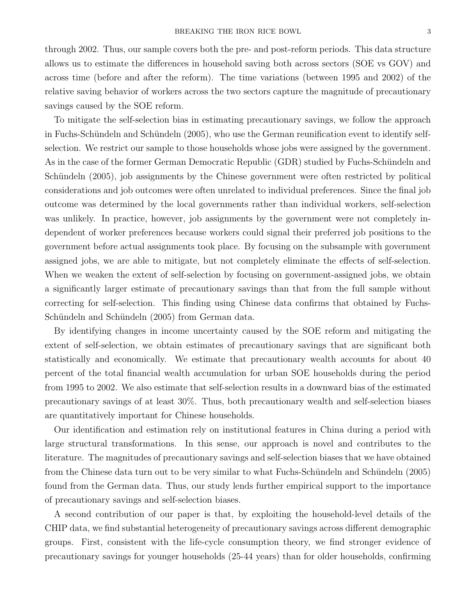through 2002. Thus, our sample covers both the pre- and post-reform periods. This data structure allows us to estimate the differences in household saving both across sectors (SOE vs GOV) and across time (before and after the reform). The time variations (between 1995 and 2002) of the relative saving behavior of workers across the two sectors capture the magnitude of precautionary savings caused by the SOE reform.

To mitigate the self-selection bias in estimating precautionary savings, we follow the approach in Fuchs-Schündeln and Schündeln (2005), who use the German reunification event to identify selfselection. We restrict our sample to those households whose jobs were assigned by the government. As in the case of the former German Democratic Republic (GDR) studied by Fuchs-Schündeln and Schündeln (2005), job assignments by the Chinese government were often restricted by political considerations and job outcomes were often unrelated to individual preferences. Since the final job outcome was determined by the local governments rather than individual workers, self-selection was unlikely. In practice, however, job assignments by the government were not completely independent of worker preferences because workers could signal their preferred job positions to the government before actual assignments took place. By focusing on the subsample with government assigned jobs, we are able to mitigate, but not completely eliminate the effects of self-selection. When we weaken the extent of self-selection by focusing on government-assigned jobs, we obtain a significantly larger estimate of precautionary savings than that from the full sample without correcting for self-selection. This finding using Chinese data confirms that obtained by Fuchs-Schündeln and Schündeln (2005) from German data.

By identifying changes in income uncertainty caused by the SOE reform and mitigating the extent of self-selection, we obtain estimates of precautionary savings that are significant both statistically and economically. We estimate that precautionary wealth accounts for about 40 percent of the total financial wealth accumulation for urban SOE households during the period from 1995 to 2002. We also estimate that self-selection results in a downward bias of the estimated precautionary savings of at least 30%. Thus, both precautionary wealth and self-selection biases are quantitatively important for Chinese households.

Our identification and estimation rely on institutional features in China during a period with large structural transformations. In this sense, our approach is novel and contributes to the literature. The magnitudes of precautionary savings and self-selection biases that we have obtained from the Chinese data turn out to be very similar to what Fuchs-Schündeln and Schündeln (2005) found from the German data. Thus, our study lends further empirical support to the importance of precautionary savings and self-selection biases.

A second contribution of our paper is that, by exploiting the household-level details of the CHIP data, we find substantial heterogeneity of precautionary savings across different demographic groups. First, consistent with the life-cycle consumption theory, we find stronger evidence of precautionary savings for younger households (25-44 years) than for older households, confirming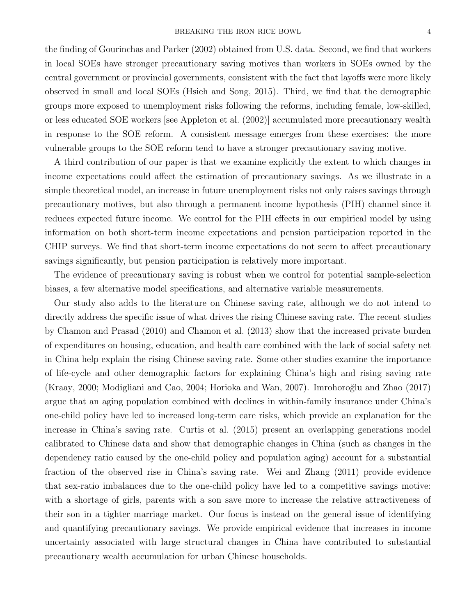the finding of Gourinchas and Parker (2002) obtained from U.S. data. Second, we find that workers in local SOEs have stronger precautionary saving motives than workers in SOEs owned by the central government or provincial governments, consistent with the fact that layoffs were more likely observed in small and local SOEs (Hsieh and Song, 2015). Third, we find that the demographic groups more exposed to unemployment risks following the reforms, including female, low-skilled, or less educated SOE workers [see Appleton et al. (2002)] accumulated more precautionary wealth in response to the SOE reform. A consistent message emerges from these exercises: the more vulnerable groups to the SOE reform tend to have a stronger precautionary saving motive.

A third contribution of our paper is that we examine explicitly the extent to which changes in income expectations could affect the estimation of precautionary savings. As we illustrate in a simple theoretical model, an increase in future unemployment risks not only raises savings through precautionary motives, but also through a permanent income hypothesis (PIH) channel since it reduces expected future income. We control for the PIH effects in our empirical model by using information on both short-term income expectations and pension participation reported in the CHIP surveys. We find that short-term income expectations do not seem to affect precautionary savings significantly, but pension participation is relatively more important.

The evidence of precautionary saving is robust when we control for potential sample-selection biases, a few alternative model specifications, and alternative variable measurements.

Our study also adds to the literature on Chinese saving rate, although we do not intend to directly address the specific issue of what drives the rising Chinese saving rate. The recent studies by Chamon and Prasad (2010) and Chamon et al. (2013) show that the increased private burden of expenditures on housing, education, and health care combined with the lack of social safety net in China help explain the rising Chinese saving rate. Some other studies examine the importance of life-cycle and other demographic factors for explaining China's high and rising saving rate  $(Kraay, 2000; Modigliani and Cao, 2004; Horioka and Wan, 2007)$ . Imrohoroğlu and Zhao  $(2017)$ argue that an aging population combined with declines in within-family insurance under China's one-child policy have led to increased long-term care risks, which provide an explanation for the increase in China's saving rate. Curtis et al. (2015) present an overlapping generations model calibrated to Chinese data and show that demographic changes in China (such as changes in the dependency ratio caused by the one-child policy and population aging) account for a substantial fraction of the observed rise in China's saving rate. Wei and Zhang (2011) provide evidence that sex-ratio imbalances due to the one-child policy have led to a competitive savings motive: with a shortage of girls, parents with a son save more to increase the relative attractiveness of their son in a tighter marriage market. Our focus is instead on the general issue of identifying and quantifying precautionary savings. We provide empirical evidence that increases in income uncertainty associated with large structural changes in China have contributed to substantial precautionary wealth accumulation for urban Chinese households.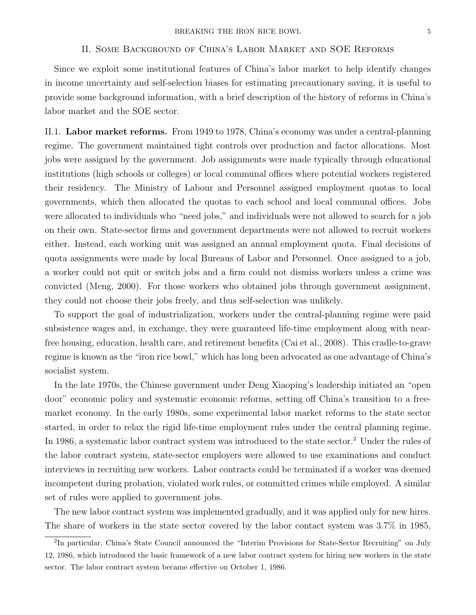#### II. Some Background of China's Labor Market and SOE Reforms

Since we exploit some institutional features of China's labor market to help identify changes in income uncertainty and self-selection biases for estimating precautionary saving, it is useful to provide some background information, with a brief description of the history of reforms in China's labor market and the SOE sector.

II.1. Labor market reforms. From 1949 to 1978, China's economy was under a central-planning regime. The government maintained tight controls over production and factor allocations. Most jobs were assigned by the government. Job assignments were made typically through educational institutions (high schools or colleges) or local communal offices where potential workers registered their residency. The Ministry of Labour and Personnel assigned employment quotas to local governments, which then allocated the quotas to each school and local communal offices. Jobs were allocated to individuals who "need jobs," and individuals were not allowed to search for a job on their own. State-sector firms and government departments were not allowed to recruit workers either. Instead, each working unit was assigned an annual employment quota. Final decisions of quota assignments were made by local Bureaus of Labor and Personnel. Once assigned to a job, a worker could not quit or switch jobs and a firm could not dismiss workers unless a crime was convicted (Meng, 2000). For those workers who obtained jobs through government assignment, they could not choose their jobs freely, and thus self-selection was unlikely.

To support the goal of industrialization, workers under the central-planning regime were paid subsistence wages and, in exchange, they were guaranteed life-time employment along with nearfree housing, education, health care, and retirement benefits (Cai et al., 2008). This cradle-to-grave regime is known as the "iron rice bowl," which has long been advocated as one advantage of China's socialist system.

In the late 1970s, the Chinese government under Deng Xiaoping's leadership initiated an "open door" economic policy and systematic economic reforms, setting off China's transition to a freemarket economy. In the early 1980s, some experimental labor market reforms to the state sector started, in order to relax the rigid life-time employment rules under the central planning regime. In 1986, a systematic labor contract system was introduced to the state sector.<sup>2</sup> Under the rules of the labor contract system, state-sector employers were allowed to use examinations and conduct interviews in recruiting new workers. Labor contracts could be terminated if a worker was deemed incompetent during probation, violated work rules, or committed crimes while employed. A similar set of rules were applied to government jobs.

The new labor contract system was implemented gradually, and it was applied only for new hires. The share of workers in the state sector covered by the labor contact system was 3.7% in 1985,

<sup>&</sup>lt;sup>2</sup>In particular, China's State Council announced the "Interim Provisions for State-Sector Recruiting" on July 12, 1986, which introduced the basic framework of a new labor contract system for hiring new workers in the state sector. The labor contract system became effective on October 1, 1986.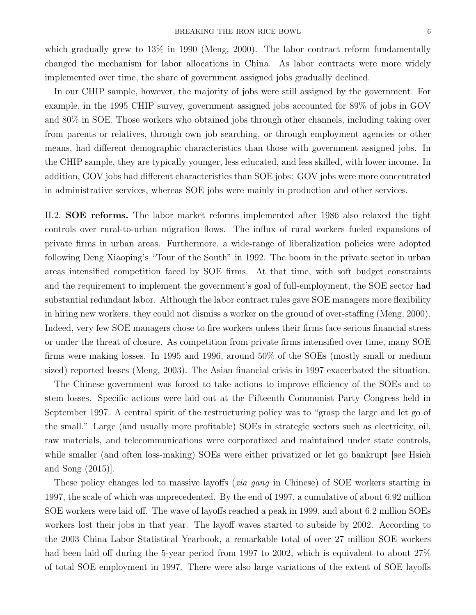which gradually grew to  $13\%$  in 1990 (Meng, 2000). The labor contract reform fundamentally changed the mechanism for labor allocations in China. As labor contracts were more widely implemented over time, the share of government assigned jobs gradually declined.

In our CHIP sample, however, the majority of jobs were still assigned by the government. For example, in the 1995 CHIP survey, government assigned jobs accounted for 89% of jobs in GOV and 80% in SOE. Those workers who obtained jobs through other channels, including taking over from parents or relatives, through own job searching, or through employment agencies or other means, had different demographic characteristics than those with government assigned jobs. In the CHIP sample, they are typically younger, less educated, and less skilled, with lower income. In addition, GOV jobs had different characteristics than SOE jobs: GOV jobs were more concentrated in administrative services, whereas SOE jobs were mainly in production and other services.

II.2. SOE reforms. The labor market reforms implemented after 1986 also relaxed the tight controls over rural-to-urban migration flows. The influx of rural workers fueled expansions of private firms in urban areas. Furthermore, a wide-range of liberalization policies were adopted following Deng Xiaoping's "Tour of the South" in 1992. The boom in the private sector in urban areas intensified competition faced by SOE firms. At that time, with soft budget constraints and the requirement to implement the government's goal of full-employment, the SOE sector had substantial redundant labor. Although the labor contract rules gave SOE managers more flexibility in hiring new workers, they could not dismiss a worker on the ground of over-staffing (Meng, 2000). Indeed, very few SOE managers chose to fire workers unless their firms face serious financial stress or under the threat of closure. As competition from private firms intensified over time, many SOE firms were making losses. In 1995 and 1996, around 50% of the SOEs (mostly small or medium sized) reported losses (Meng, 2003). The Asian financial crisis in 1997 exacerbated the situation.

The Chinese government was forced to take actions to improve efficiency of the SOEs and to stem losses. Specific actions were laid out at the Fifteenth Communist Party Congress held in September 1997. A central spirit of the restructuring policy was to "grasp the large and let go of the small." Large (and usually more profitable) SOEs in strategic sectors such as electricity, oil, raw materials, and telecommunications were corporatized and maintained under state controls, while smaller (and often loss-making) SOEs were either privatized or let go bankrupt [see Hsieh and Song (2015)].

These policy changes led to massive layoffs (xia gang in Chinese) of SOE workers starting in 1997, the scale of which was unprecedented. By the end of 1997, a cumulative of about 6.92 million SOE workers were laid off. The wave of layoffs reached a peak in 1999, and about 6.2 million SOEs workers lost their jobs in that year. The layoff waves started to subside by 2002. According to the 2003 China Labor Statistical Yearbook, a remarkable total of over 27 million SOE workers had been laid off during the 5-year period from 1997 to 2002, which is equivalent to about 27% of total SOE employment in 1997. There were also large variations of the extent of SOE layoffs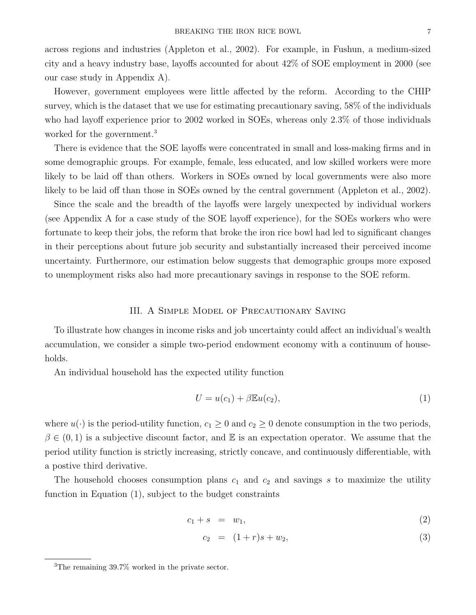across regions and industries (Appleton et al., 2002). For example, in Fushun, a medium-sized city and a heavy industry base, layoffs accounted for about 42% of SOE employment in 2000 (see our case study in Appendix A).

However, government employees were little affected by the reform. According to the CHIP survey, which is the dataset that we use for estimating precautionary saving, 58% of the individuals who had layoff experience prior to 2002 worked in SOEs, whereas only 2.3% of those individuals worked for the government.<sup>3</sup>

There is evidence that the SOE layoffs were concentrated in small and loss-making firms and in some demographic groups. For example, female, less educated, and low skilled workers were more likely to be laid off than others. Workers in SOEs owned by local governments were also more likely to be laid off than those in SOEs owned by the central government (Appleton et al., 2002).

Since the scale and the breadth of the layoffs were largely unexpected by individual workers (see Appendix A for a case study of the SOE layoff experience), for the SOEs workers who were fortunate to keep their jobs, the reform that broke the iron rice bowl had led to significant changes in their perceptions about future job security and substantially increased their perceived income uncertainty. Furthermore, our estimation below suggests that demographic groups more exposed to unemployment risks also had more precautionary savings in response to the SOE reform.

#### III. A Simple Model of Precautionary Saving

To illustrate how changes in income risks and job uncertainty could affect an individual's wealth accumulation, we consider a simple two-period endowment economy with a continuum of households.

An individual household has the expected utility function

$$
U = u(c_1) + \beta \mathbb{E}u(c_2),\tag{1}
$$

where  $u(\cdot)$  is the period-utility function,  $c_1 \geq 0$  and  $c_2 \geq 0$  denote consumption in the two periods,  $\beta \in (0,1)$  is a subjective discount factor, and E is an expectation operator. We assume that the period utility function is strictly increasing, strictly concave, and continuously differentiable, with a postive third derivative.

The household chooses consumption plans  $c_1$  and  $c_2$  and savings s to maximize the utility function in Equation (1), subject to the budget constraints

$$
c_1 + s = w_1,\tag{2}
$$

$$
c_2 = (1+r)s + w_2, \t\t(3)
$$

<sup>&</sup>lt;sup>3</sup>The remaining  $39.7\%$  worked in the private sector.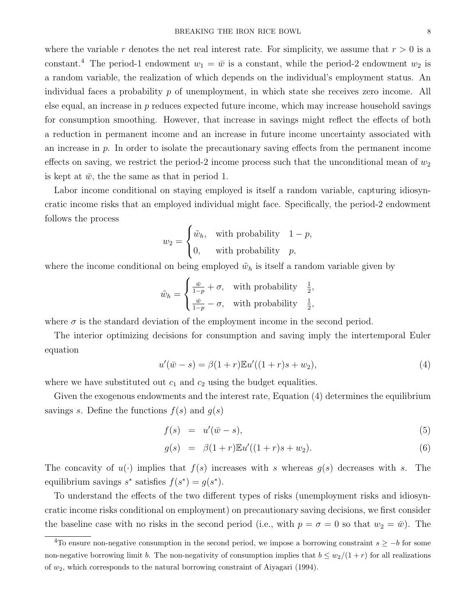where the variable r denotes the net real interest rate. For simplicity, we assume that  $r > 0$  is a constant.<sup>4</sup> The period-1 endowment  $w_1 = \bar{w}$  is a constant, while the period-2 endowment  $w_2$  is a random variable, the realization of which depends on the individual's employment status. An individual faces a probability  $p$  of unemployment, in which state she receives zero income. All else equal, an increase in  $p$  reduces expected future income, which may increase household savings for consumption smoothing. However, that increase in savings might reflect the effects of both a reduction in permanent income and an increase in future income uncertainty associated with an increase in  $p$ . In order to isolate the precautionary saving effects from the permanent income effects on saving, we restrict the period-2 income process such that the unconditional mean of  $w_2$ is kept at  $\bar{w}$ , the the same as that in period 1.

Labor income conditional on staying employed is itself a random variable, capturing idiosyncratic income risks that an employed individual might face. Specifically, the period-2 endowment follows the process

$$
w_2 = \begin{cases} \tilde{w}_h, & \text{with probability} \quad 1 - p, \\ 0, & \text{with probability} \quad p, \end{cases}
$$

where the income conditional on being employed  $\tilde{w}_h$  is itself a random variable given by

$$
\tilde{w}_h = \begin{cases} \frac{\bar{w}}{1-p} + \sigma, & \text{with probability} \quad \frac{1}{2}, \\ \frac{\bar{w}}{1-p} - \sigma, & \text{with probability} \quad \frac{1}{2}, \end{cases}
$$

where  $\sigma$  is the standard deviation of the employment income in the second period.

The interior optimizing decisions for consumption and saving imply the intertemporal Euler equation

$$
u'(\bar{w} - s) = \beta(1+r)\mathbb{E}u'((1+r)s + w_2),\tag{4}
$$

where we have substituted out  $c_1$  and  $c_2$  using the budget equalities.

Given the exogenous endowments and the interest rate, Equation (4) determines the equilibrium savings s. Define the functions  $f(s)$  and  $g(s)$ 

$$
f(s) = u'(\bar{w} - s), \tag{5}
$$

$$
g(s) = \beta(1+r)\mathbb{E}u'((1+r)s+w_2). \tag{6}
$$

The concavity of  $u(\cdot)$  implies that  $f(s)$  increases with s whereas  $g(s)$  decreases with s. The equilibrium savings  $s^*$  satisfies  $f(s^*) = g(s^*)$ .

To understand the effects of the two different types of risks (unemployment risks and idiosyncratic income risks conditional on employment) on precautionary saving decisions, we first consider the baseline case with no risks in the second period (i.e., with  $p = \sigma = 0$  so that  $w_2 = \bar{w}$ ). The

 $\overline{^{4}$ To ensure non-negative consumption in the second period, we impose a borrowing constraint  $s \geq -b$  for some non-negative borrowing limit b. The non-negativity of consumption implies that  $b \leq w_2/(1+r)$  for all realizations of  $w_2$ , which corresponds to the natural borrowing constraint of Aiyagari (1994).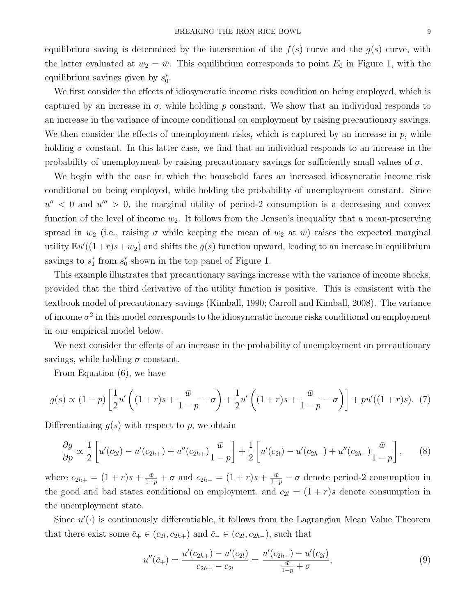equilibrium saving is determined by the intersection of the  $f(s)$  curve and the  $g(s)$  curve, with the latter evaluated at  $w_2 = \bar{w}$ . This equilibrium corresponds to point  $E_0$  in Figure 1, with the equilibrium savings given by  $s_0^*$ .

We first consider the effects of idiosyncratic income risks condition on being employed, which is captured by an increase in  $\sigma$ , while holding p constant. We show that an individual responds to an increase in the variance of income conditional on employment by raising precautionary savings. We then consider the effects of unemployment risks, which is captured by an increase in  $p$ , while holding  $\sigma$  constant. In this latter case, we find that an individual responds to an increase in the probability of unemployment by raising precautionary savings for sufficiently small values of  $\sigma$ .

We begin with the case in which the household faces an increased idiosyncratic income risk conditional on being employed, while holding the probability of unemployment constant. Since  $u''$  < 0 and  $u''' > 0$ , the marginal utility of period-2 consumption is a decreasing and convex function of the level of income  $w_2$ . It follows from the Jensen's inequality that a mean-preserving spread in  $w_2$  (i.e., raising  $\sigma$  while keeping the mean of  $w_2$  at  $\bar{w}$ ) raises the expected marginal utility  $\mathbb{E}u'((1+r)s+w_2)$  and shifts the  $g(s)$  function upward, leading to an increase in equilibrium savings to  $s_1^*$  from  $s_0^*$  shown in the top panel of Figure 1.

This example illustrates that precautionary savings increase with the variance of income shocks, provided that the third derivative of the utility function is positive. This is consistent with the textbook model of precautionary savings (Kimball, 1990; Carroll and Kimball, 2008). The variance of income  $\sigma^2$  in this model corresponds to the idiosyncratic income risks conditional on employment in our empirical model below.

We next consider the effects of an increase in the probability of unemployment on precautionary savings, while holding  $\sigma$  constant.

From Equation (6), we have

$$
g(s) \propto (1-p) \left[ \frac{1}{2} u' \left( (1+r)s + \frac{\bar{w}}{1-p} + \sigma \right) + \frac{1}{2} u' \left( (1+r)s + \frac{\bar{w}}{1-p} - \sigma \right) \right] + p u'((1+r)s). \tag{7}
$$

Differentiating  $q(s)$  with respect to p, we obtain

$$
\frac{\partial g}{\partial p} \propto \frac{1}{2} \left[ u'(c_{2l}) - u'(c_{2h+}) + u''(c_{2h+}) \frac{\bar{w}}{1-p} \right] + \frac{1}{2} \left[ u'(c_{2l}) - u'(c_{2h-}) + u''(c_{2h-}) \frac{\bar{w}}{1-p} \right],\tag{8}
$$

where  $c_{2h+} = (1+r)s + \frac{\bar{w}}{1-p} + \sigma$  and  $c_{2h-} = (1+r)s + \frac{\bar{w}}{1-p} - \sigma$  denote period-2 consumption in the good and bad states conditional on employment, and  $c_{2l} = (1 + r)s$  denote consumption in the unemployment state.

Since  $u'(\cdot)$  is continuously differentiable, it follows from the Lagrangian Mean Value Theorem that there exist some  $\bar{c}_+ \in (c_{2l}, c_{2h+})$  and  $\bar{c}_- \in (c_{2l}, c_{2h-})$ , such that

$$
u''(\bar{c}_{+}) = \frac{u'(c_{2h+}) - u'(c_{2l})}{c_{2h+} - c_{2l}} = \frac{u'(c_{2h+}) - u'(c_{2l})}{\frac{\bar{w}}{1-p} + \sigma},\tag{9}
$$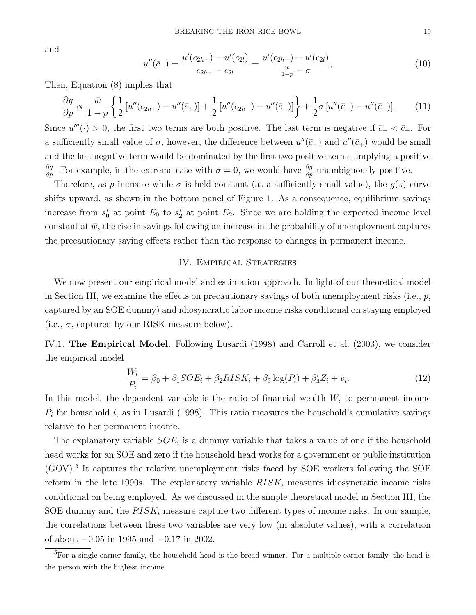and

$$
u''(\bar{c}_{-}) = \frac{u'(c_{2h-}) - u'(c_{2l})}{c_{2h-} - c_{2l}} = \frac{u'(c_{2h-}) - u'(c_{2l})}{\frac{\bar{w}}{1 - \bar{p}} - \sigma},
$$
\n(10)

Then, Equation (8) implies that

$$
\frac{\partial g}{\partial p} \propto \frac{\bar{w}}{1-p} \left\{ \frac{1}{2} \left[ u''(c_{2h+}) - u''(\bar{c}_+) \right] + \frac{1}{2} \left[ u''(c_{2h-}) - u''(\bar{c}_-) \right] \right\} + \frac{1}{2} \sigma \left[ u''(\bar{c}_-) - u''(\bar{c}_+) \right]. \tag{11}
$$

Since  $u'''(·) > 0$ , the first two terms are both positive. The last term is negative if  $\bar{c}$   $< \bar{c}_{+}$ . For a sufficiently small value of  $\sigma$ , however, the difference between  $u''(\bar{c}_-)$  and  $u''(\bar{c}_+)$  would be small and the last negative term would be dominated by the first two positive terms, implying a positive  $\frac{\partial g}{\partial p}$ . For example, in the extreme case with  $\sigma = 0$ , we would have  $\frac{\partial g}{\partial p}$  unambiguously positive.

Therefore, as p increase while  $\sigma$  is held constant (at a sufficiently small value), the  $g(s)$  curve shifts upward, as shown in the bottom panel of Figure 1. As a consequence, equilibrium savings increase from  $s_0^*$  at point  $E_0$  to  $s_2^*$  at point  $E_2$ . Since we are holding the expected income level constant at  $\bar{w}$ , the rise in savings following an increase in the probability of unemployment captures the precautionary saving effects rather than the response to changes in permanent income.

## IV. Empirical Strategies

We now present our empirical model and estimation approach. In light of our theoretical model in Section III, we examine the effects on precautionary savings of both unemployment risks (i.e.,  $p$ , captured by an SOE dummy) and idiosyncratic labor income risks conditional on staying employed (i.e.,  $\sigma$ , captured by our RISK measure below).

IV.1. The Empirical Model. Following Lusardi (1998) and Carroll et al. (2003), we consider the empirical model

$$
\frac{W_i}{P_i} = \beta_0 + \beta_1 SOE_i + \beta_2 RISK_i + \beta_3 \log(P_i) + \beta_4' Z_i + v_i.
$$
 (12)

In this model, the dependent variable is the ratio of financial wealth  $W<sub>i</sub>$  to permanent income  $P_i$  for household i, as in Lusardi (1998). This ratio measures the household's cumulative savings relative to her permanent income.

The explanatory variable  $SOE<sub>i</sub>$  is a dummy variable that takes a value of one if the household head works for an SOE and zero if the household head works for a government or public institution (GOV).<sup>5</sup> It captures the relative unemployment risks faced by SOE workers following the SOE reform in the late 1990s. The explanatory variable  $RISK_i$  measures idiosyncratic income risks conditional on being employed. As we discussed in the simple theoretical model in Section III, the SOE dummy and the  $RISK_i$  measure capture two different types of income risks. In our sample, the correlations between these two variables are very low (in absolute values), with a correlation of about −0.05 in 1995 and −0.17 in 2002.

<sup>5</sup>For a single-earner family, the household head is the bread winner. For a multiple-earner family, the head is the person with the highest income.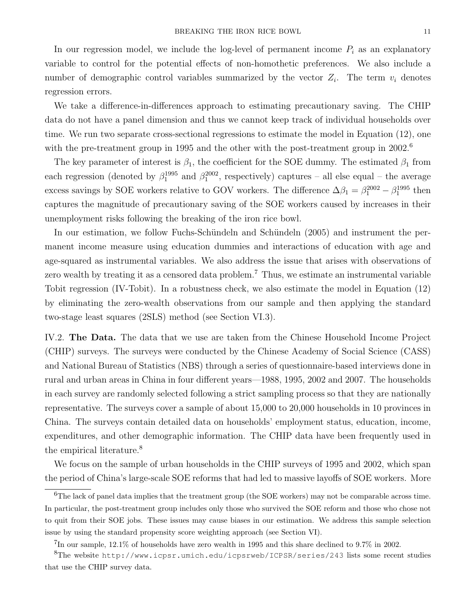In our regression model, we include the log-level of permanent income  $P_i$  as an explanatory variable to control for the potential effects of non-homothetic preferences. We also include a number of demographic control variables summarized by the vector  $Z_i$ . The term  $v_i$  denotes regression errors.

We take a difference-in-differences approach to estimating precautionary saving. The CHIP data do not have a panel dimension and thus we cannot keep track of individual households over time. We run two separate cross-sectional regressions to estimate the model in Equation (12), one with the pre-treatment group in 1995 and the other with the post-treatment group in  $2002<sup>6</sup>$ 

The key parameter of interest is  $\beta_1$ , the coefficient for the SOE dummy. The estimated  $\beta_1$  from each regression (denoted by  $\beta_1^{1995}$  and  $\beta_1^{2002}$ , respectively) captures – all else equal – the average excess savings by SOE workers relative to GOV workers. The difference  $\Delta \beta_1 = \beta_1^{2002} - \beta_1^{1995}$  then captures the magnitude of precautionary saving of the SOE workers caused by increases in their unemployment risks following the breaking of the iron rice bowl.

In our estimation, we follow Fuchs-Schündeln and Schündeln (2005) and instrument the permanent income measure using education dummies and interactions of education with age and age-squared as instrumental variables. We also address the issue that arises with observations of zero wealth by treating it as a censored data problem.<sup>7</sup> Thus, we estimate an instrumental variable Tobit regression (IV-Tobit). In a robustness check, we also estimate the model in Equation (12) by eliminating the zero-wealth observations from our sample and then applying the standard two-stage least squares (2SLS) method (see Section VI.3).

IV.2. The Data. The data that we use are taken from the Chinese Household Income Project (CHIP) surveys. The surveys were conducted by the Chinese Academy of Social Science (CASS) and National Bureau of Statistics (NBS) through a series of questionnaire-based interviews done in rural and urban areas in China in four different years—1988, 1995, 2002 and 2007. The households in each survey are randomly selected following a strict sampling process so that they are nationally representative. The surveys cover a sample of about 15,000 to 20,000 households in 10 provinces in China. The surveys contain detailed data on households' employment status, education, income, expenditures, and other demographic information. The CHIP data have been frequently used in the empirical literature.<sup>8</sup>

We focus on the sample of urban households in the CHIP surveys of 1995 and 2002, which span the period of China's large-scale SOE reforms that had led to massive layoffs of SOE workers. More

<sup>&</sup>lt;sup>6</sup>The lack of panel data implies that the treatment group (the SOE workers) may not be comparable across time. In particular, the post-treatment group includes only those who survived the SOE reform and those who chose not to quit from their SOE jobs. These issues may cause biases in our estimation. We address this sample selection issue by using the standard propensity score weighting approach (see Section VI).

 $^{7}$ In our sample, 12.1% of households have zero wealth in 1995 and this share declined to 9.7% in 2002.

<sup>8</sup>The website http://www.icpsr.umich.edu/icpsrweb/ICPSR/series/243 lists some recent studies that use the CHIP survey data.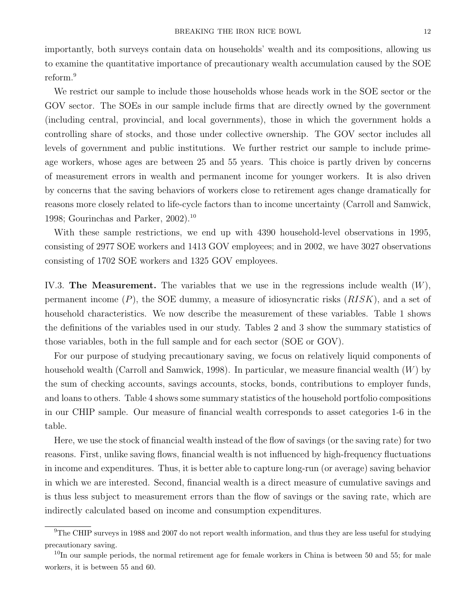importantly, both surveys contain data on households' wealth and its compositions, allowing us to examine the quantitative importance of precautionary wealth accumulation caused by the SOE reform.<sup>9</sup>

We restrict our sample to include those households whose heads work in the SOE sector or the GOV sector. The SOEs in our sample include firms that are directly owned by the government (including central, provincial, and local governments), those in which the government holds a controlling share of stocks, and those under collective ownership. The GOV sector includes all levels of government and public institutions. We further restrict our sample to include primeage workers, whose ages are between 25 and 55 years. This choice is partly driven by concerns of measurement errors in wealth and permanent income for younger workers. It is also driven by concerns that the saving behaviors of workers close to retirement ages change dramatically for reasons more closely related to life-cycle factors than to income uncertainty (Carroll and Samwick, 1998; Gourinchas and Parker, 2002).<sup>10</sup>

With these sample restrictions, we end up with 4390 household-level observations in 1995, consisting of 2977 SOE workers and 1413 GOV employees; and in 2002, we have 3027 observations consisting of 1702 SOE workers and 1325 GOV employees.

IV.3. The Measurement. The variables that we use in the regressions include wealth  $(W)$ , permanent income  $(P)$ , the SOE dummy, a measure of idiosyncratic risks  $(RISK)$ , and a set of household characteristics. We now describe the measurement of these variables. Table 1 shows the definitions of the variables used in our study. Tables 2 and 3 show the summary statistics of those variables, both in the full sample and for each sector (SOE or GOV).

For our purpose of studying precautionary saving, we focus on relatively liquid components of household wealth (Carroll and Samwick, 1998). In particular, we measure financial wealth  $(W)$  by the sum of checking accounts, savings accounts, stocks, bonds, contributions to employer funds, and loans to others. Table 4 shows some summary statistics of the household portfolio compositions in our CHIP sample. Our measure of financial wealth corresponds to asset categories 1-6 in the table.

Here, we use the stock of financial wealth instead of the flow of savings (or the saving rate) for two reasons. First, unlike saving flows, financial wealth is not influenced by high-frequency fluctuations in income and expenditures. Thus, it is better able to capture long-run (or average) saving behavior in which we are interested. Second, financial wealth is a direct measure of cumulative savings and is thus less subject to measurement errors than the flow of savings or the saving rate, which are indirectly calculated based on income and consumption expenditures.

 $^{9}$ The CHIP surveys in 1988 and 2007 do not report wealth information, and thus they are less useful for studying precautionary saving.

<sup>&</sup>lt;sup>10</sup>In our sample periods, the normal retirement age for female workers in China is between 50 and 55; for male workers, it is between 55 and 60.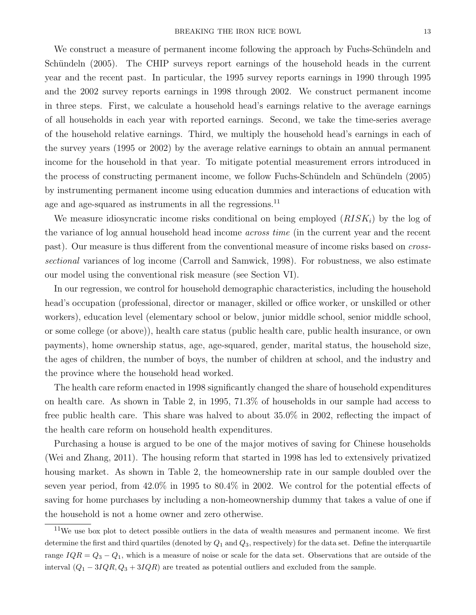We construct a measure of permanent income following the approach by Fuchs-Schündeln and Schündeln (2005). The CHIP surveys report earnings of the household heads in the current year and the recent past. In particular, the 1995 survey reports earnings in 1990 through 1995 and the 2002 survey reports earnings in 1998 through 2002. We construct permanent income in three steps. First, we calculate a household head's earnings relative to the average earnings of all households in each year with reported earnings. Second, we take the time-series average of the household relative earnings. Third, we multiply the household head's earnings in each of the survey years (1995 or 2002) by the average relative earnings to obtain an annual permanent income for the household in that year. To mitigate potential measurement errors introduced in the process of constructing permanent income, we follow Fuchs-Schündeln and Schündeln (2005) by instrumenting permanent income using education dummies and interactions of education with age and age-squared as instruments in all the regressions.<sup>11</sup>

We measure idiosyncratic income risks conditional on being employed  $(RISK<sub>i</sub>)$  by the log of the variance of log annual household head income *across time* (in the current year and the recent past). Our measure is thus different from the conventional measure of income risks based on *cross*sectional variances of log income (Carroll and Samwick, 1998). For robustness, we also estimate our model using the conventional risk measure (see Section VI).

In our regression, we control for household demographic characteristics, including the household head's occupation (professional, director or manager, skilled or office worker, or unskilled or other workers), education level (elementary school or below, junior middle school, senior middle school, or some college (or above)), health care status (public health care, public health insurance, or own payments), home ownership status, age, age-squared, gender, marital status, the household size, the ages of children, the number of boys, the number of children at school, and the industry and the province where the household head worked.

The health care reform enacted in 1998 significantly changed the share of household expenditures on health care. As shown in Table 2, in 1995, 71.3% of households in our sample had access to free public health care. This share was halved to about 35.0% in 2002, reflecting the impact of the health care reform on household health expenditures.

Purchasing a house is argued to be one of the major motives of saving for Chinese households (Wei and Zhang, 2011). The housing reform that started in 1998 has led to extensively privatized housing market. As shown in Table 2, the homeownership rate in our sample doubled over the seven year period, from 42.0% in 1995 to 80.4% in 2002. We control for the potential effects of saving for home purchases by including a non-homeownership dummy that takes a value of one if the household is not a home owner and zero otherwise.

 $11$ We use box plot to detect possible outliers in the data of wealth measures and permanent income. We first determine the first and third quartiles (denoted by  $Q_1$  and  $Q_3$ , respectively) for the data set. Define the interquartile range  $IQR = Q_3 - Q_1$ , which is a measure of noise or scale for the data set. Observations that are outside of the interval  $(Q_1 - 3IQR, Q_3 + 3IQR)$  are treated as potential outliers and excluded from the sample.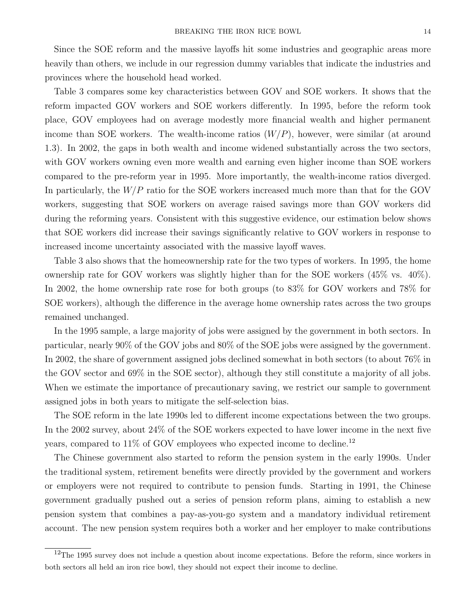Since the SOE reform and the massive layoffs hit some industries and geographic areas more heavily than others, we include in our regression dummy variables that indicate the industries and provinces where the household head worked.

Table 3 compares some key characteristics between GOV and SOE workers. It shows that the reform impacted GOV workers and SOE workers differently. In 1995, before the reform took place, GOV employees had on average modestly more financial wealth and higher permanent income than SOE workers. The wealth-income ratios  $(W/P)$ , however, were similar (at around 1.3). In 2002, the gaps in both wealth and income widened substantially across the two sectors, with GOV workers owning even more wealth and earning even higher income than SOE workers compared to the pre-reform year in 1995. More importantly, the wealth-income ratios diverged. In particularly, the  $W/P$  ratio for the SOE workers increased much more than that for the GOV workers, suggesting that SOE workers on average raised savings more than GOV workers did during the reforming years. Consistent with this suggestive evidence, our estimation below shows that SOE workers did increase their savings significantly relative to GOV workers in response to increased income uncertainty associated with the massive layoff waves.

Table 3 also shows that the homeownership rate for the two types of workers. In 1995, the home ownership rate for GOV workers was slightly higher than for the SOE workers (45% vs. 40%). In 2002, the home ownership rate rose for both groups (to 83% for GOV workers and 78% for SOE workers), although the difference in the average home ownership rates across the two groups remained unchanged.

In the 1995 sample, a large majority of jobs were assigned by the government in both sectors. In particular, nearly 90% of the GOV jobs and 80% of the SOE jobs were assigned by the government. In 2002, the share of government assigned jobs declined somewhat in both sectors (to about 76% in the GOV sector and 69% in the SOE sector), although they still constitute a majority of all jobs. When we estimate the importance of precautionary saving, we restrict our sample to government assigned jobs in both years to mitigate the self-selection bias.

The SOE reform in the late 1990s led to different income expectations between the two groups. In the 2002 survey, about 24% of the SOE workers expected to have lower income in the next five years, compared to 11% of GOV employees who expected income to decline.<sup>12</sup>

The Chinese government also started to reform the pension system in the early 1990s. Under the traditional system, retirement benefits were directly provided by the government and workers or employers were not required to contribute to pension funds. Starting in 1991, the Chinese government gradually pushed out a series of pension reform plans, aiming to establish a new pension system that combines a pay-as-you-go system and a mandatory individual retirement account. The new pension system requires both a worker and her employer to make contributions

 $12$ The 1995 survey does not include a question about income expectations. Before the reform, since workers in both sectors all held an iron rice bowl, they should not expect their income to decline.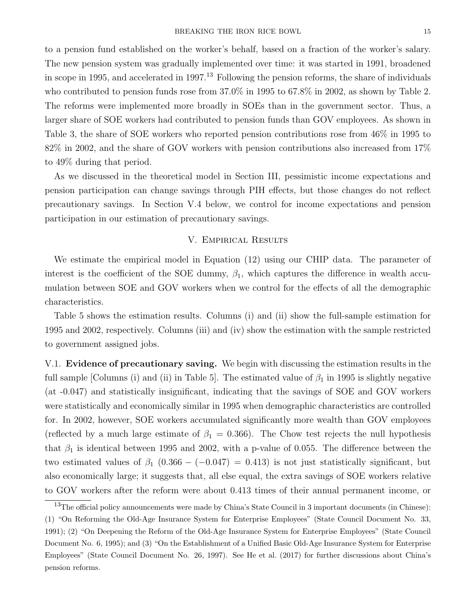to a pension fund established on the worker's behalf, based on a fraction of the worker's salary. The new pension system was gradually implemented over time: it was started in 1991, broadened in scope in 1995, and accelerated in 1997.<sup>13</sup> Following the pension reforms, the share of individuals who contributed to pension funds rose from 37.0% in 1995 to 67.8% in 2002, as shown by Table 2. The reforms were implemented more broadly in SOEs than in the government sector. Thus, a larger share of SOE workers had contributed to pension funds than GOV employees. As shown in Table 3, the share of SOE workers who reported pension contributions rose from 46% in 1995 to 82% in 2002, and the share of GOV workers with pension contributions also increased from 17% to 49% during that period.

As we discussed in the theoretical model in Section III, pessimistic income expectations and pension participation can change savings through PIH effects, but those changes do not reflect precautionary savings. In Section V.4 below, we control for income expectations and pension participation in our estimation of precautionary savings.

### V. Empirical Results

We estimate the empirical model in Equation (12) using our CHIP data. The parameter of interest is the coefficient of the SOE dummy,  $\beta_1$ , which captures the difference in wealth accumulation between SOE and GOV workers when we control for the effects of all the demographic characteristics.

Table 5 shows the estimation results. Columns (i) and (ii) show the full-sample estimation for 1995 and 2002, respectively. Columns (iii) and (iv) show the estimation with the sample restricted to government assigned jobs.

V.1. Evidence of precautionary saving. We begin with discussing the estimation results in the full sample [Columns (i) and (ii) in Table 5]. The estimated value of  $\beta_1$  in 1995 is slightly negative (at -0.047) and statistically insignificant, indicating that the savings of SOE and GOV workers were statistically and economically similar in 1995 when demographic characteristics are controlled for. In 2002, however, SOE workers accumulated significantly more wealth than GOV employees (reflected by a much large estimate of  $\beta_1 = 0.366$ ). The Chow test rejects the null hypothesis that  $\beta_1$  is identical between 1995 and 2002, with a p-value of 0.055. The difference between the two estimated values of  $\beta_1$  (0.366 – (–0.047) = 0.413) is not just statistically significant, but also economically large; it suggests that, all else equal, the extra savings of SOE workers relative to GOV workers after the reform were about 0.413 times of their annual permanent income, or

<sup>&</sup>lt;sup>13</sup>The official policy announcements were made by China's State Council in 3 important documents (in Chinese): (1) "On Reforming the Old-Age Insurance System for Enterprise Employees" (State Council Document No. 33, 1991); (2) "On Deepening the Reform of the Old-Age Insurance System for Enterprise Employees" (State Council Document No. 6, 1995); and (3) "On the Establishment of a Unified Basic Old-Age Insurance System for Enterprise Employees" (State Council Document No. 26, 1997). See He et al. (2017) for further discussions about China's pension reforms.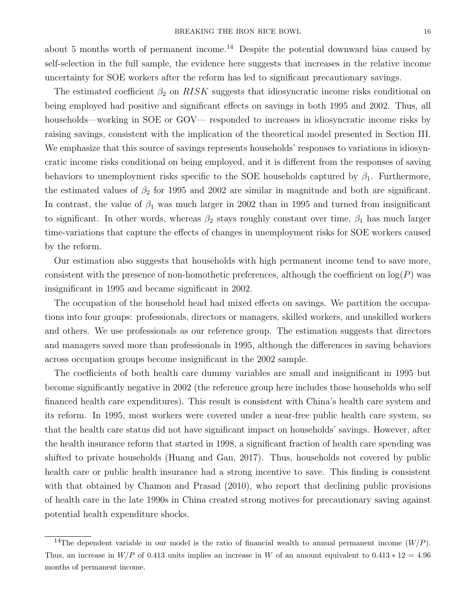about 5 months worth of permanent income.<sup>14</sup> Despite the potential downward bias caused by self-selection in the full sample, the evidence here suggests that increases in the relative income uncertainty for SOE workers after the reform has led to significant precautionary savings.

The estimated coefficient  $\beta_2$  on  $RISK$  suggests that idiosyncratic income risks conditional on being employed had positive and significant effects on savings in both 1995 and 2002. Thus, all households—working in SOE or GOV— responded to increases in idiosyncratic income risks by raising savings, consistent with the implication of the theoretical model presented in Section III. We emphasize that this source of savings represents households' responses to variations in idiosyncratic income risks conditional on being employed, and it is different from the responses of saving behaviors to unemployment risks specific to the SOE households captured by  $\beta_1$ . Furthermore, the estimated values of  $\beta_2$  for 1995 and 2002 are similar in magnitude and both are significant. In contrast, the value of  $\beta_1$  was much larger in 2002 than in 1995 and turned from insignificant to significant. In other words, whereas  $\beta_2$  stays roughly constant over time,  $\beta_1$  has much larger time-variations that capture the effects of changes in unemployment risks for SOE workers caused by the reform.

Our estimation also suggests that households with high permanent income tend to save more, consistent with the presence of non-homothetic preferences, although the coefficient on  $log(P)$  was insignificant in 1995 and became significant in 2002.

The occupation of the household head had mixed effects on savings. We partition the occupations into four groups: professionals, directors or managers, skilled workers, and unskilled workers and others. We use professionals as our reference group. The estimation suggests that directors and managers saved more than professionals in 1995, although the differences in saving behaviors across occupation groups become insignificant in the 2002 sample.

The coefficients of both health care dummy variables are small and insignificant in 1995 but become significantly negative in 2002 (the reference group here includes those households who self financed health care expenditures). This result is consistent with China's health care system and its reform. In 1995, most workers were covered under a near-free public health care system, so that the health care status did not have significant impact on households' savings. However, after the health insurance reform that started in 1998, a significant fraction of health care spending was shifted to private households (Huang and Gan, 2017). Thus, households not covered by public health care or public health insurance had a strong incentive to save. This finding is consistent with that obtained by Chamon and Prasad  $(2010)$ , who report that declining public provisions of health care in the late 1990s in China created strong motives for precautionary saving against potential health expenditure shocks.

<sup>&</sup>lt;sup>14</sup>The dependent variable in our model is the ratio of financial wealth to annual permanent income  $(W/P)$ . Thus, an increase in  $W/P$  of 0.413 units implies an increase in W of an amount equivalent to  $0.413 * 12 = 4.96$ months of permanent income.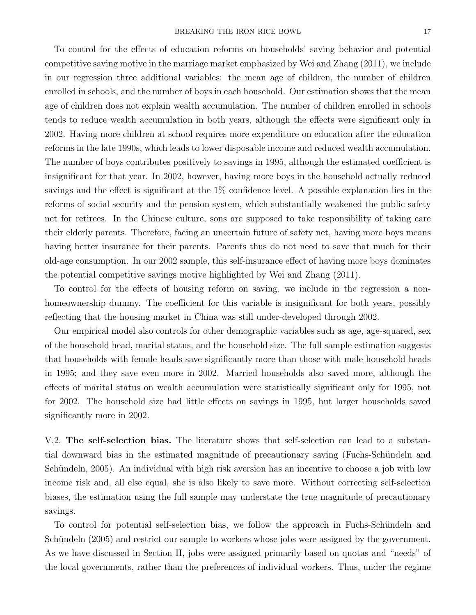To control for the effects of education reforms on households' saving behavior and potential competitive saving motive in the marriage market emphasized by Wei and Zhang (2011), we include in our regression three additional variables: the mean age of children, the number of children enrolled in schools, and the number of boys in each household. Our estimation shows that the mean age of children does not explain wealth accumulation. The number of children enrolled in schools tends to reduce wealth accumulation in both years, although the effects were significant only in 2002. Having more children at school requires more expenditure on education after the education reforms in the late 1990s, which leads to lower disposable income and reduced wealth accumulation. The number of boys contributes positively to savings in 1995, although the estimated coefficient is insignificant for that year. In 2002, however, having more boys in the household actually reduced savings and the effect is significant at the 1% confidence level. A possible explanation lies in the reforms of social security and the pension system, which substantially weakened the public safety net for retirees. In the Chinese culture, sons are supposed to take responsibility of taking care their elderly parents. Therefore, facing an uncertain future of safety net, having more boys means having better insurance for their parents. Parents thus do not need to save that much for their old-age consumption. In our 2002 sample, this self-insurance effect of having more boys dominates the potential competitive savings motive highlighted by Wei and Zhang (2011).

To control for the effects of housing reform on saving, we include in the regression a nonhomeownership dummy. The coefficient for this variable is insignificant for both years, possibly reflecting that the housing market in China was still under-developed through 2002.

Our empirical model also controls for other demographic variables such as age, age-squared, sex of the household head, marital status, and the household size. The full sample estimation suggests that households with female heads save significantly more than those with male household heads in 1995; and they save even more in 2002. Married households also saved more, although the effects of marital status on wealth accumulation were statistically significant only for 1995, not for 2002. The household size had little effects on savings in 1995, but larger households saved significantly more in 2002.

V.2. The self-selection bias. The literature shows that self-selection can lead to a substantial downward bias in the estimated magnitude of precautionary saving (Fuchs-Schündeln and Schündeln, 2005). An individual with high risk aversion has an incentive to choose a job with low income risk and, all else equal, she is also likely to save more. Without correcting self-selection biases, the estimation using the full sample may understate the true magnitude of precautionary savings.

To control for potential self-selection bias, we follow the approach in Fuchs-Schündeln and Schündeln (2005) and restrict our sample to workers whose jobs were assigned by the government. As we have discussed in Section II, jobs were assigned primarily based on quotas and "needs" of the local governments, rather than the preferences of individual workers. Thus, under the regime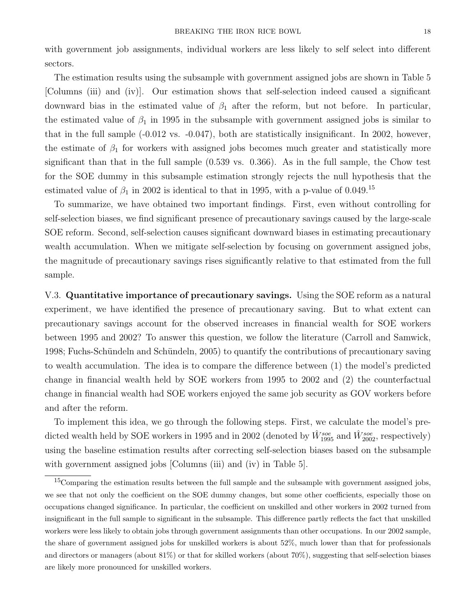with government job assignments, individual workers are less likely to self select into different sectors.

The estimation results using the subsample with government assigned jobs are shown in Table 5 [Columns (iii) and (iv)]. Our estimation shows that self-selection indeed caused a significant downward bias in the estimated value of  $\beta_1$  after the reform, but not before. In particular, the estimated value of  $\beta_1$  in 1995 in the subsample with government assigned jobs is similar to that in the full sample (-0.012 vs. -0.047), both are statistically insignificant. In 2002, however, the estimate of  $\beta_1$  for workers with assigned jobs becomes much greater and statistically more significant than that in the full sample (0.539 vs. 0.366). As in the full sample, the Chow test for the SOE dummy in this subsample estimation strongly rejects the null hypothesis that the estimated value of  $\beta_1$  in 2002 is identical to that in 1995, with a p-value of 0.049.<sup>15</sup>

To summarize, we have obtained two important findings. First, even without controlling for self-selection biases, we find significant presence of precautionary savings caused by the large-scale SOE reform. Second, self-selection causes significant downward biases in estimating precautionary wealth accumulation. When we mitigate self-selection by focusing on government assigned jobs, the magnitude of precautionary savings rises significantly relative to that estimated from the full sample.

V.3. Quantitative importance of precautionary savings. Using the SOE reform as a natural experiment, we have identified the presence of precautionary saving. But to what extent can precautionary savings account for the observed increases in financial wealth for SOE workers between 1995 and 2002? To answer this question, we follow the literature (Carroll and Samwick, 1998; Fuchs-Schündeln and Schündeln, 2005) to quantify the contributions of precautionary saving to wealth accumulation. The idea is to compare the difference between (1) the model's predicted change in financial wealth held by SOE workers from 1995 to 2002 and (2) the counterfactual change in financial wealth had SOE workers enjoyed the same job security as GOV workers before and after the reform.

To implement this idea, we go through the following steps. First, we calculate the model's predicted wealth held by SOE workers in 1995 and in 2002 (denoted by  $\hat{W}^{soc}_{1995}$  and  $\hat{W}^{soc}_{2002}$ , respectively) using the baseline estimation results after correcting self-selection biases based on the subsample with government assigned jobs [Columns (iii) and (iv) in Table 5].

 $15$ Comparing the estimation results between the full sample and the subsample with government assigned jobs, we see that not only the coefficient on the SOE dummy changes, but some other coefficients, especially those on occupations changed significance. In particular, the coefficient on unskilled and other workers in 2002 turned from insignificant in the full sample to significant in the subsample. This difference partly reflects the fact that unskilled workers were less likely to obtain jobs through government assignments than other occupations. In our 2002 sample, the share of government assigned jobs for unskilled workers is about 52%, much lower than that for professionals and directors or managers (about 81%) or that for skilled workers (about 70%), suggesting that self-selection biases are likely more pronounced for unskilled workers.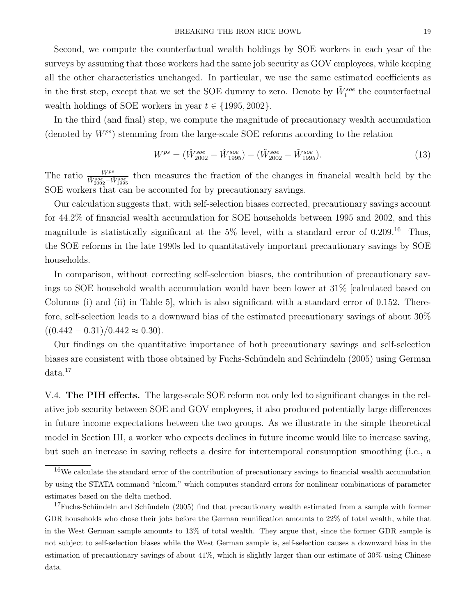Second, we compute the counterfactual wealth holdings by SOE workers in each year of the surveys by assuming that those workers had the same job security as GOV employees, while keeping all the other characteristics unchanged. In particular, we use the same estimated coefficients as in the first step, except that we set the SOE dummy to zero. Denote by  $\tilde{W}^{soc}_{t}$  the counterfactual wealth holdings of SOE workers in year  $t \in \{1995, 2002\}.$ 

In the third (and final) step, we compute the magnitude of precautionary wealth accumulation (denoted by  $W^{ps}$ ) stemming from the large-scale SOE reforms according to the relation

$$
W^{ps} = (\hat{W}^{soe}_{2002} - \hat{W}^{soe}_{1995}) - (\tilde{W}^{soe}_{2002} - \tilde{W}^{soe}_{1995}).
$$
\n(13)

The ratio  $\frac{W^{ps}}{\hat{W}^{soc}_{2002}-\hat{W}^{soc}_{1995}}$  then measures the fraction of the changes in financial wealth held by the SOE workers that can be accounted for by precautionary savings.

Our calculation suggests that, with self-selection biases corrected, precautionary savings account for 44.2% of financial wealth accumulation for SOE households between 1995 and 2002, and this magnitude is statistically significant at the  $5\%$  level, with a standard error of  $0.209$ .<sup>16</sup> Thus, the SOE reforms in the late 1990s led to quantitatively important precautionary savings by SOE households.

In comparison, without correcting self-selection biases, the contribution of precautionary savings to SOE household wealth accumulation would have been lower at 31% [calculated based on Columns (i) and (ii) in Table 5], which is also significant with a standard error of 0.152. Therefore, self-selection leads to a downward bias of the estimated precautionary savings of about 30%  $((0.442 - 0.31)/0.442 \approx 0.30).$ 

Our findings on the quantitative importance of both precautionary savings and self-selection biases are consistent with those obtained by Fuchs-Schündeln and Schündeln (2005) using German data.<sup>17</sup>

V.4. The PIH effects. The large-scale SOE reform not only led to significant changes in the relative job security between SOE and GOV employees, it also produced potentially large differences in future income expectations between the two groups. As we illustrate in the simple theoretical model in Section III, a worker who expects declines in future income would like to increase saving, but such an increase in saving reflects a desire for intertemporal consumption smoothing (i.e., a

<sup>16</sup>We calculate the standard error of the contribution of precautionary savings to financial wealth accumulation by using the STATA command "nlcom," which computes standard errors for nonlinear combinations of parameter estimates based on the delta method.

 $17$ Fuchs-Schündeln and Schündeln (2005) find that precautionary wealth estimated from a sample with former GDR households who chose their jobs before the German reunification amounts to 22% of total wealth, while that in the West German sample amounts to 13% of total wealth. They argue that, since the former GDR sample is not subject to self-selection biases while the West German sample is, self-selection causes a downward bias in the estimation of precautionary savings of about 41%, which is slightly larger than our estimate of 30% using Chinese data.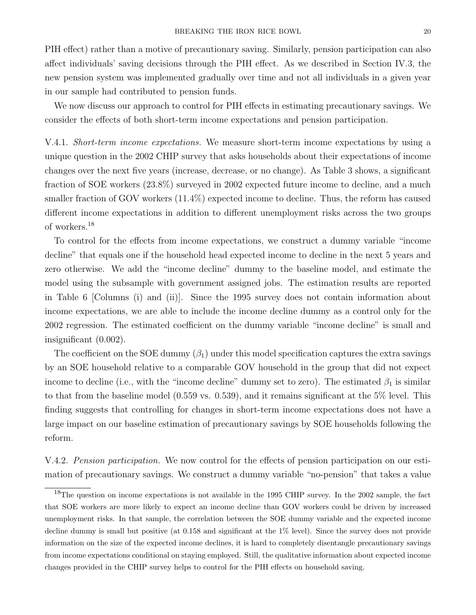PIH effect) rather than a motive of precautionary saving. Similarly, pension participation can also affect individuals' saving decisions through the PIH effect. As we described in Section IV.3, the new pension system was implemented gradually over time and not all individuals in a given year in our sample had contributed to pension funds.

We now discuss our approach to control for PIH effects in estimating precautionary savings. We consider the effects of both short-term income expectations and pension participation.

V.4.1. Short-term income expectations. We measure short-term income expectations by using a unique question in the 2002 CHIP survey that asks households about their expectations of income changes over the next five years (increase, decrease, or no change). As Table 3 shows, a significant fraction of SOE workers (23.8%) surveyed in 2002 expected future income to decline, and a much smaller fraction of GOV workers (11.4%) expected income to decline. Thus, the reform has caused different income expectations in addition to different unemployment risks across the two groups of workers.<sup>18</sup>

To control for the effects from income expectations, we construct a dummy variable "income decline" that equals one if the household head expected income to decline in the next 5 years and zero otherwise. We add the "income decline" dummy to the baseline model, and estimate the model using the subsample with government assigned jobs. The estimation results are reported in Table 6 [Columns (i) and (ii)]. Since the 1995 survey does not contain information about income expectations, we are able to include the income decline dummy as a control only for the 2002 regression. The estimated coefficient on the dummy variable "income decline" is small and insignificant (0.002).

The coefficient on the SOE dummy  $(\beta_1)$  under this model specification captures the extra savings by an SOE household relative to a comparable GOV household in the group that did not expect income to decline (i.e., with the "income decline" dummy set to zero). The estimated  $\beta_1$  is similar to that from the baseline model (0.559 vs. 0.539), and it remains significant at the 5% level. This finding suggests that controlling for changes in short-term income expectations does not have a large impact on our baseline estimation of precautionary savings by SOE households following the reform.

V.4.2. Pension participation. We now control for the effects of pension participation on our estimation of precautionary savings. We construct a dummy variable "no-pension" that takes a value

<sup>&</sup>lt;sup>18</sup>The question on income expectations is not available in the 1995 CHIP survey. In the 2002 sample, the fact that SOE workers are more likely to expect an income decline than GOV workers could be driven by increased unemployment risks. In that sample, the correlation between the SOE dummy variable and the expected income decline dummy is small but positive (at 0.158 and significant at the 1% level). Since the survey does not provide information on the size of the expected income declines, it is hard to completely disentangle precautionary savings from income expectations conditional on staying employed. Still, the qualitative information about expected income changes provided in the CHIP survey helps to control for the PIH effects on household saving.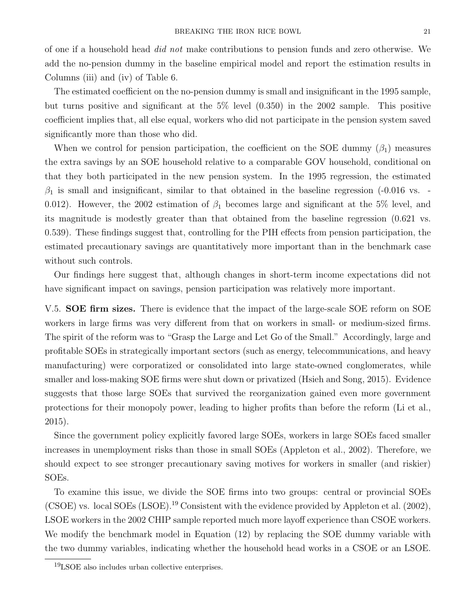of one if a household head did not make contributions to pension funds and zero otherwise. We add the no-pension dummy in the baseline empirical model and report the estimation results in Columns (iii) and (iv) of Table 6.

The estimated coefficient on the no-pension dummy is small and insignificant in the 1995 sample, but turns positive and significant at the 5% level (0.350) in the 2002 sample. This positive coefficient implies that, all else equal, workers who did not participate in the pension system saved significantly more than those who did.

When we control for pension participation, the coefficient on the SOE dummy  $(\beta_1)$  measures the extra savings by an SOE household relative to a comparable GOV household, conditional on that they both participated in the new pension system. In the 1995 regression, the estimated  $\beta_1$  is small and insignificant, similar to that obtained in the baseline regression (-0.016 vs. 0.012). However, the 2002 estimation of  $\beta_1$  becomes large and significant at the 5% level, and its magnitude is modestly greater than that obtained from the baseline regression (0.621 vs. 0.539). These findings suggest that, controlling for the PIH effects from pension participation, the estimated precautionary savings are quantitatively more important than in the benchmark case without such controls.

Our findings here suggest that, although changes in short-term income expectations did not have significant impact on savings, pension participation was relatively more important.

V.5. **SOE firm sizes.** There is evidence that the impact of the large-scale SOE reform on SOE workers in large firms was very different from that on workers in small- or medium-sized firms. The spirit of the reform was to "Grasp the Large and Let Go of the Small." Accordingly, large and profitable SOEs in strategically important sectors (such as energy, telecommunications, and heavy manufacturing) were corporatized or consolidated into large state-owned conglomerates, while smaller and loss-making SOE firms were shut down or privatized (Hsieh and Song, 2015). Evidence suggests that those large SOEs that survived the reorganization gained even more government protections for their monopoly power, leading to higher profits than before the reform (Li et al., 2015).

Since the government policy explicitly favored large SOEs, workers in large SOEs faced smaller increases in unemployment risks than those in small SOEs (Appleton et al., 2002). Therefore, we should expect to see stronger precautionary saving motives for workers in smaller (and riskier) SOEs.

To examine this issue, we divide the SOE firms into two groups: central or provincial SOEs (CSOE) vs. local SOEs (LSOE).<sup>19</sup> Consistent with the evidence provided by Appleton et al. (2002), LSOE workers in the 2002 CHIP sample reported much more layoff experience than CSOE workers. We modify the benchmark model in Equation (12) by replacing the SOE dummy variable with the two dummy variables, indicating whether the household head works in a CSOE or an LSOE.

 $19$ LSOE also includes urban collective enterprises.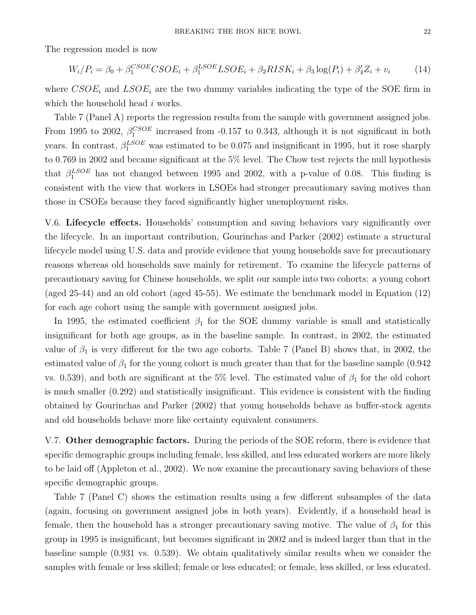The regression model is now

$$
W_i/P_i = \beta_0 + \beta_1^{CSOE} CSOE_i + \beta_1^{LSOE} LSOE_i + \beta_2 RISK_i + \beta_3 \log(P_i) + \beta_4' Z_i + v_i \tag{14}
$$

where  $CSOE_i$  and  $LSOE_i$  are the two dummy variables indicating the type of the SOE firm in which the household head i works.

Table 7 (Panel A) reports the regression results from the sample with government assigned jobs. From 1995 to 2002,  $\beta_1^{CSOE}$  increased from -0.157 to 0.343, although it is not significant in both years. In contrast,  $\beta_1^{LSOE}$  was estimated to be 0.075 and insignificant in 1995, but it rose sharply to 0.769 in 2002 and became significant at the 5% level. The Chow test rejects the null hypothesis that  $\beta_1^{LSOE}$  has not changed between 1995 and 2002, with a p-value of 0.08. This finding is consistent with the view that workers in LSOEs had stronger precautionary saving motives than those in CSOEs because they faced significantly higher unemployment risks.

V.6. Lifecycle effects. Households' consumption and saving behaviors vary significantly over the lifecycle. In an important contribution, Gourinchas and Parker (2002) estimate a structural lifecycle model using U.S. data and provide evidence that young households save for precautionary reasons whereas old households save mainly for retirement. To examine the lifecycle patterns of precautionary saving for Chinese households, we split our sample into two cohorts: a young cohort (aged 25-44) and an old cohort (aged 45-55). We estimate the benchmark model in Equation (12) for each age cohort using the sample with government assigned jobs.

In 1995, the estimated coefficient  $\beta_1$  for the SOE dummy variable is small and statistically insignificant for both age groups, as in the baseline sample. In contrast, in 2002, the estimated value of  $\beta_1$  is very different for the two age cohorts. Table 7 (Panel B) shows that, in 2002, the estimated value of  $\beta_1$  for the young cohort is much greater than that for the baseline sample (0.942) vs. 0.539), and both are significant at the 5% level. The estimated value of  $\beta_1$  for the old cohort is much smaller (0.292) and statistically insignificant. This evidence is consistent with the finding obtained by Gourinchas and Parker (2002) that young households behave as buffer-stock agents and old households behave more like certainty equivalent consumers.

V.7. Other demographic factors. During the periods of the SOE reform, there is evidence that specific demographic groups including female, less skilled, and less educated workers are more likely to be laid off (Appleton et al., 2002). We now examine the precautionary saving behaviors of these specific demographic groups.

Table 7 (Panel C) shows the estimation results using a few different subsamples of the data (again, focusing on government assigned jobs in both years). Evidently, if a household head is female, then the household has a stronger precautionary saving motive. The value of  $\beta_1$  for this group in 1995 is insignificant, but becomes significant in 2002 and is indeed larger than that in the baseline sample (0.931 vs. 0.539). We obtain qualitatively similar results when we consider the samples with female or less skilled; female or less educated; or female, less skilled, or less educated.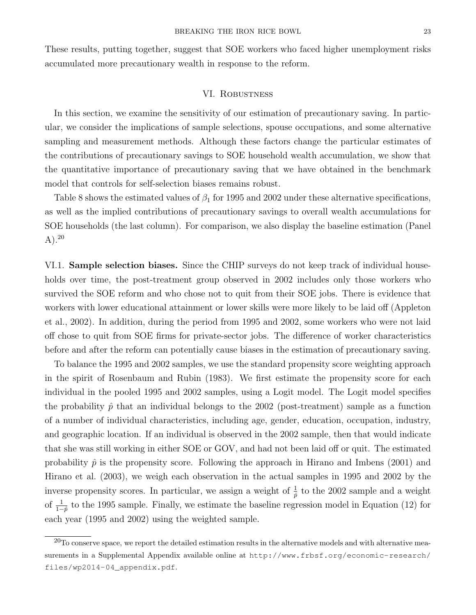These results, putting together, suggest that SOE workers who faced higher unemployment risks accumulated more precautionary wealth in response to the reform.

#### VI. Robustness

In this section, we examine the sensitivity of our estimation of precautionary saving. In particular, we consider the implications of sample selections, spouse occupations, and some alternative sampling and measurement methods. Although these factors change the particular estimates of the contributions of precautionary savings to SOE household wealth accumulation, we show that the quantitative importance of precautionary saving that we have obtained in the benchmark model that controls for self-selection biases remains robust.

Table 8 shows the estimated values of  $\beta_1$  for 1995 and 2002 under these alternative specifications, as well as the implied contributions of precautionary savings to overall wealth accumulations for SOE households (the last column). For comparison, we also display the baseline estimation (Panel A).<sup>20</sup>

VI.1. Sample selection biases. Since the CHIP surveys do not keep track of individual households over time, the post-treatment group observed in 2002 includes only those workers who survived the SOE reform and who chose not to quit from their SOE jobs. There is evidence that workers with lower educational attainment or lower skills were more likely to be laid off (Appleton et al., 2002). In addition, during the period from 1995 and 2002, some workers who were not laid off chose to quit from SOE firms for private-sector jobs. The difference of worker characteristics before and after the reform can potentially cause biases in the estimation of precautionary saving.

To balance the 1995 and 2002 samples, we use the standard propensity score weighting approach in the spirit of Rosenbaum and Rubin (1983). We first estimate the propensity score for each individual in the pooled 1995 and 2002 samples, using a Logit model. The Logit model specifies the probability  $\hat{p}$  that an individual belongs to the 2002 (post-treatment) sample as a function of a number of individual characteristics, including age, gender, education, occupation, industry, and geographic location. If an individual is observed in the 2002 sample, then that would indicate that she was still working in either SOE or GOV, and had not been laid off or quit. The estimated probability  $\hat{p}$  is the propensity score. Following the approach in Hirano and Imbens (2001) and Hirano et al. (2003), we weigh each observation in the actual samples in 1995 and 2002 by the inverse propensity scores. In particular, we assign a weight of  $\frac{1}{p}$  to the 2002 sample and a weight of  $\frac{1}{1-\hat{p}}$  to the 1995 sample. Finally, we estimate the baseline regression model in Equation (12) for each year (1995 and 2002) using the weighted sample.

 $^{20}$ To conserve space, we report the detailed estimation results in the alternative models and with alternative measurements in a Supplemental Appendix available online at http://www.frbsf.org/economic-research/ files/wp2014-04\_appendix.pdf.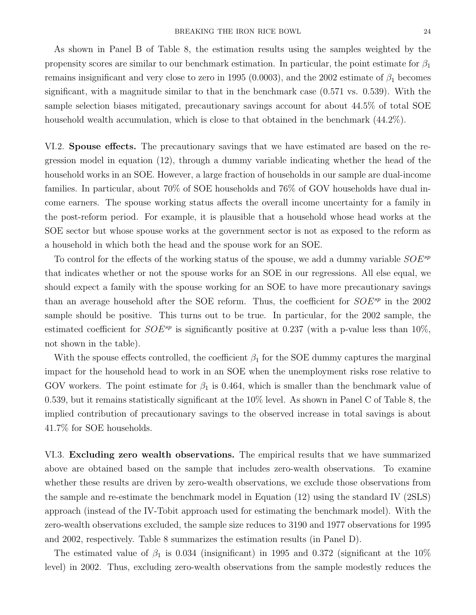As shown in Panel B of Table 8, the estimation results using the samples weighted by the propensity scores are similar to our benchmark estimation. In particular, the point estimate for  $\beta_1$ remains insignificant and very close to zero in 1995 (0.0003), and the 2002 estimate of  $\beta_1$  becomes significant, with a magnitude similar to that in the benchmark case (0.571 vs. 0.539). With the sample selection biases mitigated, precautionary savings account for about 44.5% of total SOE household wealth accumulation, which is close to that obtained in the benchmark  $(44.2\%)$ .

VI.2. Spouse effects. The precautionary savings that we have estimated are based on the regression model in equation (12), through a dummy variable indicating whether the head of the household works in an SOE. However, a large fraction of households in our sample are dual-income families. In particular, about 70% of SOE households and 76% of GOV households have dual income earners. The spouse working status affects the overall income uncertainty for a family in the post-reform period. For example, it is plausible that a household whose head works at the SOE sector but whose spouse works at the government sector is not as exposed to the reform as a household in which both the head and the spouse work for an SOE.

To control for the effects of the working status of the spouse, we add a dummy variable  $SOE^{sp}$ that indicates whether or not the spouse works for an SOE in our regressions. All else equal, we should expect a family with the spouse working for an SOE to have more precautionary savings than an average household after the SOE reform. Thus, the coefficient for  $SOE^{sp}$  in the 2002 sample should be positive. This turns out to be true. In particular, for the 2002 sample, the estimated coefficient for  $SOE^{sp}$  is significantly positive at 0.237 (with a p-value less than 10%, not shown in the table).

With the spouse effects controlled, the coefficient  $\beta_1$  for the SOE dummy captures the marginal impact for the household head to work in an SOE when the unemployment risks rose relative to GOV workers. The point estimate for  $\beta_1$  is 0.464, which is smaller than the benchmark value of 0.539, but it remains statistically significant at the 10% level. As shown in Panel C of Table 8, the implied contribution of precautionary savings to the observed increase in total savings is about 41.7% for SOE households.

VI.3. Excluding zero wealth observations. The empirical results that we have summarized above are obtained based on the sample that includes zero-wealth observations. To examine whether these results are driven by zero-wealth observations, we exclude those observations from the sample and re-estimate the benchmark model in Equation (12) using the standard IV (2SLS) approach (instead of the IV-Tobit approach used for estimating the benchmark model). With the zero-wealth observations excluded, the sample size reduces to 3190 and 1977 observations for 1995 and 2002, respectively. Table 8 summarizes the estimation results (in Panel D).

The estimated value of  $\beta_1$  is 0.034 (insignificant) in 1995 and 0.372 (significant at the 10% level) in 2002. Thus, excluding zero-wealth observations from the sample modestly reduces the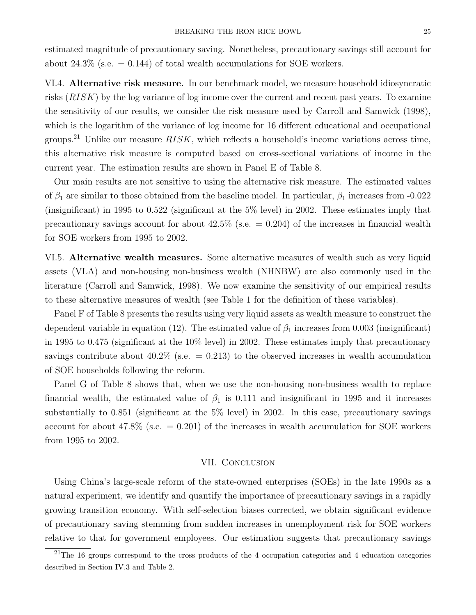estimated magnitude of precautionary saving. Nonetheless, precautionary savings still account for about 24.3% (s.e.  $= 0.144$ ) of total wealth accumulations for SOE workers.

VI.4. Alternative risk measure. In our benchmark model, we measure household idiosyncratic risks (RISK) by the log variance of log income over the current and recent past years. To examine the sensitivity of our results, we consider the risk measure used by Carroll and Samwick (1998), which is the logarithm of the variance of log income for 16 different educational and occupational groups.<sup>21</sup> Unlike our measure  $RISK$ , which reflects a household's income variations across time, this alternative risk measure is computed based on cross-sectional variations of income in the current year. The estimation results are shown in Panel E of Table 8.

Our main results are not sensitive to using the alternative risk measure. The estimated values of  $\beta_1$  are similar to those obtained from the baseline model. In particular,  $\beta_1$  increases from -0.022 (insignificant) in 1995 to 0.522 (significant at the  $5\%$  level) in 2002. These estimates imply that precautionary savings account for about  $42.5\%$  (s.e.  $= 0.204$ ) of the increases in financial wealth for SOE workers from 1995 to 2002.

VI.5. Alternative wealth measures. Some alternative measures of wealth such as very liquid assets (VLA) and non-housing non-business wealth (NHNBW) are also commonly used in the literature (Carroll and Samwick, 1998). We now examine the sensitivity of our empirical results to these alternative measures of wealth (see Table 1 for the definition of these variables).

Panel F of Table 8 presents the results using very liquid assets as wealth measure to construct the dependent variable in equation (12). The estimated value of  $\beta_1$  increases from 0.003 (insignificant) in 1995 to 0.475 (significant at the 10% level) in 2002. These estimates imply that precautionary savings contribute about  $40.2\%$  (s.e.  $= 0.213$ ) to the observed increases in wealth accumulation of SOE households following the reform.

Panel G of Table 8 shows that, when we use the non-housing non-business wealth to replace financial wealth, the estimated value of  $\beta_1$  is 0.111 and insignificant in 1995 and it increases substantially to 0.851 (significant at the 5% level) in 2002. In this case, precautionary savings account for about 47.8% (s.e.  $= 0.201$ ) of the increases in wealth accumulation for SOE workers from 1995 to 2002.

#### VII. CONCLUSION

Using China's large-scale reform of the state-owned enterprises (SOEs) in the late 1990s as a natural experiment, we identify and quantify the importance of precautionary savings in a rapidly growing transition economy. With self-selection biases corrected, we obtain significant evidence of precautionary saving stemming from sudden increases in unemployment risk for SOE workers relative to that for government employees. Our estimation suggests that precautionary savings

 $21$ The 16 groups correspond to the cross products of the 4 occupation categories and 4 education categories described in Section IV.3 and Table 2.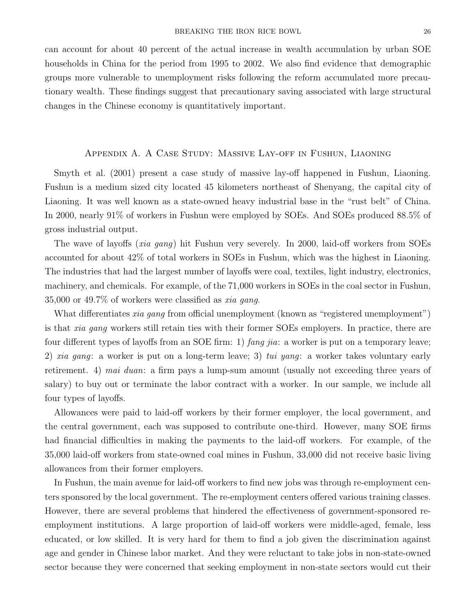can account for about 40 percent of the actual increase in wealth accumulation by urban SOE households in China for the period from 1995 to 2002. We also find evidence that demographic groups more vulnerable to unemployment risks following the reform accumulated more precautionary wealth. These findings suggest that precautionary saving associated with large structural changes in the Chinese economy is quantitatively important.

#### Appendix A. A Case Study: Massive Lay-off in Fushun, Liaoning

Smyth et al. (2001) present a case study of massive lay-off happened in Fushun, Liaoning. Fushun is a medium sized city located 45 kilometers northeast of Shenyang, the capital city of Liaoning. It was well known as a state-owned heavy industrial base in the "rust belt" of China. In 2000, nearly 91% of workers in Fushun were employed by SOEs. And SOEs produced 88.5% of gross industrial output.

The wave of layoffs (xia gang) hit Fushun very severely. In 2000, laid-off workers from SOEs accounted for about 42% of total workers in SOEs in Fushun, which was the highest in Liaoning. The industries that had the largest number of layoffs were coal, textiles, light industry, electronics, machinery, and chemicals. For example, of the 71,000 workers in SOEs in the coal sector in Fushun,  $35,000$  or  $49.7\%$  of workers were classified as xia gang.

What differentiates xia gang from official unemployment (known as "registered unemployment") is that xia gang workers still retain ties with their former SOEs employers. In practice, there are four different types of layoffs from an SOE firm: 1) fang jia: a worker is put on a temporary leave; 2) xia gang: a worker is put on a long-term leave; 3) tui yang: a worker takes voluntary early retirement. 4) mai duan: a firm pays a lump-sum amount (usually not exceeding three years of salary) to buy out or terminate the labor contract with a worker. In our sample, we include all four types of layoffs.

Allowances were paid to laid-off workers by their former employer, the local government, and the central government, each was supposed to contribute one-third. However, many SOE firms had financial difficulties in making the payments to the laid-off workers. For example, of the 35,000 laid-off workers from state-owned coal mines in Fushun, 33,000 did not receive basic living allowances from their former employers.

In Fushun, the main avenue for laid-off workers to find new jobs was through re-employment centers sponsored by the local government. The re-employment centers offered various training classes. However, there are several problems that hindered the effectiveness of government-sponsored reemployment institutions. A large proportion of laid-off workers were middle-aged, female, less educated, or low skilled. It is very hard for them to find a job given the discrimination against age and gender in Chinese labor market. And they were reluctant to take jobs in non-state-owned sector because they were concerned that seeking employment in non-state sectors would cut their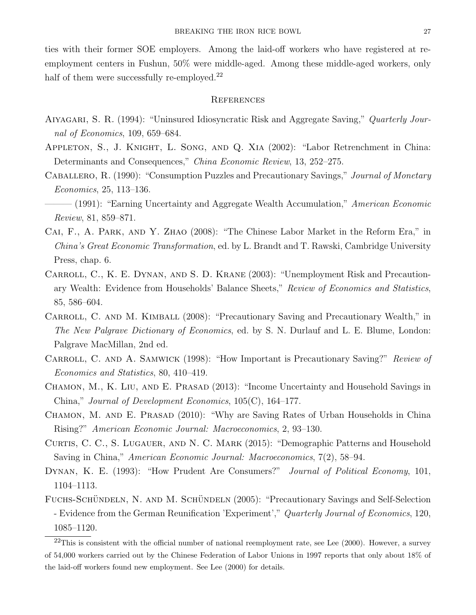ties with their former SOE employers. Among the laid-off workers who have registered at reemployment centers in Fushun, 50% were middle-aged. Among these middle-aged workers, only

## **REFERENCES**

half of them were successfully re-employed.<sup>22</sup>

- AIYAGARI, S. R. (1994): "Uninsured Idiosyncratic Risk and Aggregate Saving," Quarterly Journal of Economics, 109, 659–684.
- Appleton, S., J. Knight, L. Song, and Q. Xia (2002): "Labor Retrenchment in China: Determinants and Consequences," China Economic Review, 13, 252–275.
- Caballero, R. (1990): "Consumption Puzzles and Precautionary Savings," Journal of Monetary Economics, 25, 113–136.
- $-$  (1991): "Earning Uncertainty and Aggregate Wealth Accumulation," American Economic Review, 81, 859–871.
- Cai, F., A. Park, and Y. Zhao (2008): "The Chinese Labor Market in the Reform Era," in China's Great Economic Transformation, ed. by L. Brandt and T. Rawski, Cambridge University Press, chap. 6.
- CARROLL, C., K. E. DYNAN, AND S. D. KRANE (2003): "Unemployment Risk and Precautionary Wealth: Evidence from Households' Balance Sheets," Review of Economics and Statistics, 85, 586–604.
- CARROLL, C. AND M. KIMBALL (2008): "Precautionary Saving and Precautionary Wealth," in The New Palgrave Dictionary of Economics, ed. by S. N. Durlauf and L. E. Blume, London: Palgrave MacMillan, 2nd ed.
- CARROLL, C. AND A. SAMWICK (1998): "How Important is Precautionary Saving?" Review of Economics and Statistics, 80, 410–419.
- CHAMON, M., K. LIU, AND E. PRASAD (2013): "Income Uncertainty and Household Savings in China," Journal of Development Economics, 105(C), 164–177.
- CHAMON, M. AND E. PRASAD (2010): "Why are Saving Rates of Urban Households in China Rising?" American Economic Journal: Macroeconomics, 2, 93–130.
- CURTIS, C. C., S. LUGAUER, AND N. C. MARK (2015): "Demographic Patterns and Household Saving in China," American Economic Journal: Macroeconomics, 7(2), 58–94.
- DYNAN, K. E. (1993): "How Prudent Are Consumers?" *Journal of Political Economy*, 101, 1104–1113.
- FUCHS-SCHÜNDELN, N. AND M. SCHÜNDELN (2005): "Precautionary Savings and Self-Selection - Evidence from the German Reunification 'Experiment'," Quarterly Journal of Economics, 120, 1085–1120.

 $^{22}$ This is consistent with the official number of national reemployment rate, see Lee (2000). However, a survey of 54,000 workers carried out by the Chinese Federation of Labor Unions in 1997 reports that only about 18% of the laid-off workers found new employment. See Lee (2000) for details.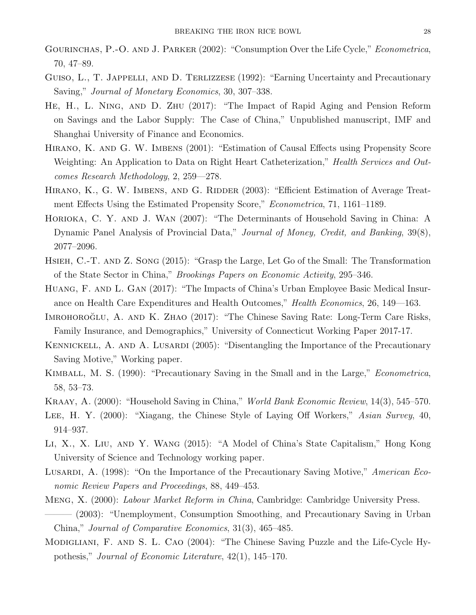- GOURINCHAS, P.-O. AND J. PARKER (2002): "Consumption Over the Life Cycle," *Econometrica*, 70, 47–89.
- GUISO, L., T. JAPPELLI, AND D. TERLIZZESE (1992): "Earning Uncertainty and Precautionary Saving," Journal of Monetary Economics, 30, 307–338.
- He, H., L. Ning, and D. Zhu (2017): "The Impact of Rapid Aging and Pension Reform on Savings and the Labor Supply: The Case of China," Unpublished manuscript, IMF and Shanghai University of Finance and Economics.
- Hirano, K. and G. W. Imbens (2001): "Estimation of Causal Effects using Propensity Score Weighting: An Application to Data on Right Heart Catheterization," Health Services and Outcomes Research Methodology, 2, 259—278.
- HIRANO, K., G. W. IMBENS, AND G. RIDDER (2003): "Efficient Estimation of Average Treatment Effects Using the Estimated Propensity Score," Econometrica, 71, 1161–1189.
- Horioka, C. Y. and J. Wan (2007): "The Determinants of Household Saving in China: A Dynamic Panel Analysis of Provincial Data," Journal of Money, Credit, and Banking, 39(8), 2077–2096.
- Hsieh, C.-T. and Z. Song (2015): "Grasp the Large, Let Go of the Small: The Transformation of the State Sector in China," Brookings Papers on Economic Activity, 295–346.
- Huang, F. and L. Gan (2017): "The Impacts of China's Urban Employee Basic Medical Insurance on Health Care Expenditures and Health Outcomes," Health Economics, 26, 149—163.
- IMROHOROGLU, A. AND K. ZHAO (2017): "The Chinese Saving Rate: Long-Term Care Risks, Family Insurance, and Demographics," University of Connecticut Working Paper 2017-17.
- KENNICKELL, A. AND A. LUSARDI (2005): "Disentangling the Importance of the Precautionary Saving Motive," Working paper.
- KIMBALL, M. S. (1990): "Precautionary Saving in the Small and in the Large," *Econometrica*, 58, 53–73.
- Kraay, A. (2000): "Household Saving in China," World Bank Economic Review, 14(3), 545–570.
- LEE, H. Y. (2000): "Xiagang, the Chinese Style of Laying Off Workers," Asian Survey, 40, 914–937.
- Li, X., X. Liu, and Y. Wang (2015): "A Model of China's State Capitalism," Hong Kong University of Science and Technology working paper.
- Lusardi, A. (1998): "On the Importance of the Precautionary Saving Motive," American Economic Review Papers and Proceedings, 88, 449–453.
- Meng, X. (2000): Labour Market Reform in China, Cambridge: Cambridge University Press.
- ——— (2003): "Unemployment, Consumption Smoothing, and Precautionary Saving in Urban China," Journal of Comparative Economics, 31(3), 465–485.
- Modigliani, F. and S. L. Cao (2004): "The Chinese Saving Puzzle and the Life-Cycle Hypothesis," Journal of Economic Literature, 42(1), 145–170.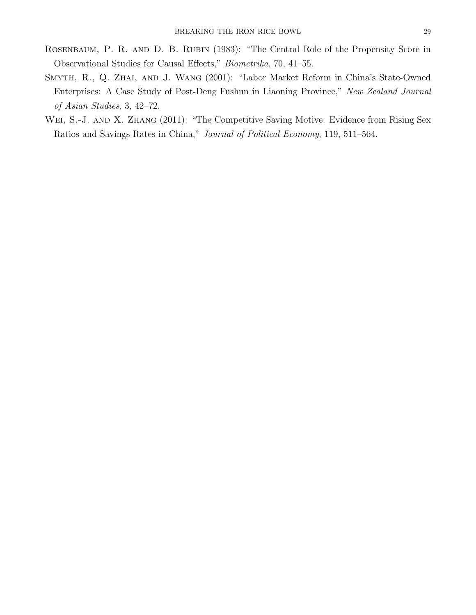- ROSENBAUM, P. R. AND D. B. RUBIN (1983): "The Central Role of the Propensity Score in Observational Studies for Causal Effects," Biometrika, 70, 41–55.
- Smyth, R., Q. Zhai, and J. Wang (2001): "Labor Market Reform in China's State-Owned Enterprises: A Case Study of Post-Deng Fushun in Liaoning Province," New Zealand Journal of Asian Studies, 3, 42–72.
- WEI, S.-J. AND X. ZHANG (2011): "The Competitive Saving Motive: Evidence from Rising Sex Ratios and Savings Rates in China," Journal of Political Economy, 119, 511–564.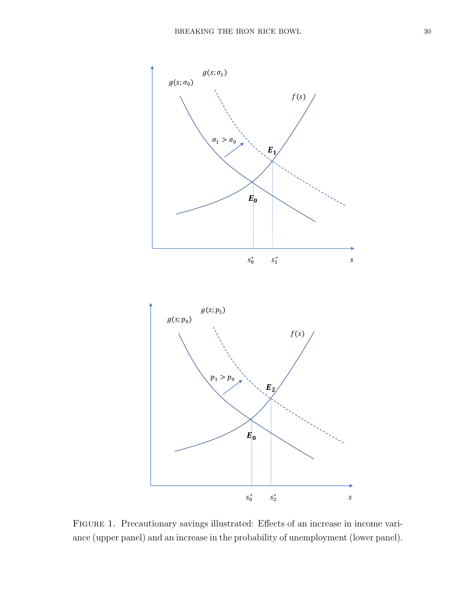

Figure 1. Precautionary savings illustrated: Effects of an increase in income variance (upper panel) and an increase in the probability of unemployment (lower panel).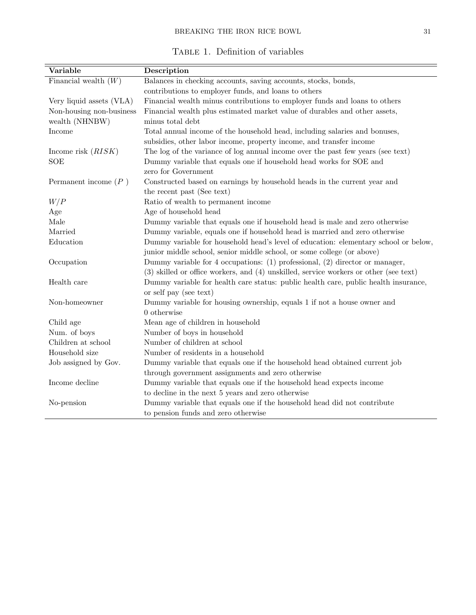|  | TABLE 1. Definition of variables |  |
|--|----------------------------------|--|

| Variable                 | Description                                                                           |
|--------------------------|---------------------------------------------------------------------------------------|
| Financial wealth $(W)$   | Balances in checking accounts, saving accounts, stocks, bonds,                        |
|                          | contributions to employer funds, and loans to others                                  |
| Very liquid assets (VLA) | Financial wealth minus contributions to employer funds and loans to others            |
| Non-housing non-business | Financial wealth plus estimated market value of durables and other assets,            |
| wealth (NHNBW)           | minus total debt                                                                      |
| Income                   | Total annual income of the household head, including salaries and bonuses,            |
|                          | subsidies, other labor income, property income, and transfer income                   |
| Income risk $(RISK)$     | The log of the variance of log annual income over the past few years (see text)       |
| <b>SOE</b>               | Dummy variable that equals one if household head works for SOE and                    |
|                          | zero for Government                                                                   |
| Permanent income $(P)$   | Constructed based on earnings by household heads in the current year and              |
|                          | the recent past (See text)                                                            |
| W/P                      | Ratio of wealth to permanent income                                                   |
| Age                      | Age of household head                                                                 |
| Male                     | Dummy variable that equals one if household head is male and zero otherwise           |
| Married                  | Dummy variable, equals one if household head is married and zero otherwise            |
| Education                | Dummy variable for household head's level of education: elementary school or below,   |
|                          | junior middle school, senior middle school, or some college (or above)                |
| Occupation               | Dummy variable for 4 occupations: $(1)$ professional, $(2)$ director or manager,      |
|                          | (3) skilled or office workers, and (4) unskilled, service workers or other (see text) |
| Health care              | Dummy variable for health care status: public health care, public health insurance,   |
|                          | or self pay (see text)                                                                |
| Non-homeowner            | Dummy variable for housing ownership, equals 1 if not a house owner and               |
|                          | 0 otherwise                                                                           |
| Child age                | Mean age of children in household                                                     |
| Num. of boys             | Number of boys in household                                                           |
| Children at school       | Number of children at school                                                          |
| Household size           | Number of residents in a household                                                    |
| Job assigned by Gov.     | Dummy variable that equals one if the household head obtained current job             |
|                          | through government assignments and zero otherwise                                     |
| Income decline           | Dummy variable that equals one if the household head expects income                   |
|                          | to decline in the next 5 years and zero otherwise                                     |
| No-pension               | Dummy variable that equals one if the household head did not contribute               |
|                          | to pension funds and zero otherwise                                                   |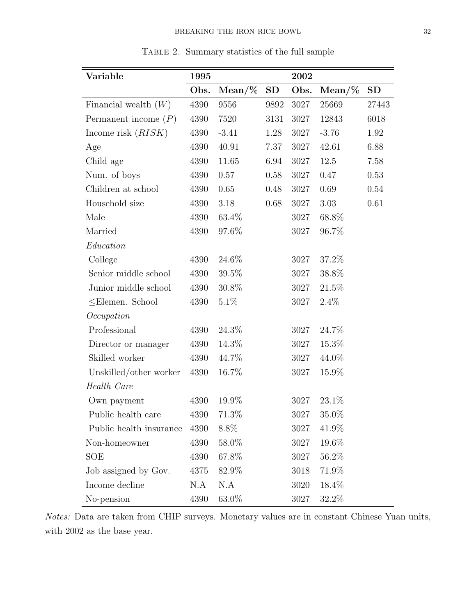| Variable                | 1995 |           |      | 2002 |          |       |
|-------------------------|------|-----------|------|------|----------|-------|
|                         | Obs. | $Mean/\%$ | SD   | Obs. | $Mean\%$ | SD    |
| Financial wealth $(W)$  | 4390 | 9556      | 9892 | 3027 | 25669    | 27443 |
| Permanent income $(P)$  | 4390 | 7520      | 3131 | 3027 | 12843    | 6018  |
| Income risk $(RISK)$    | 4390 | $-3.41$   | 1.28 | 3027 | $-3.76$  | 1.92  |
| Age                     | 4390 | 40.91     | 7.37 | 3027 | 42.61    | 6.88  |
| Child age               | 4390 | 11.65     | 6.94 | 3027 | 12.5     | 7.58  |
| Num. of boys            | 4390 | 0.57      | 0.58 | 3027 | 0.47     | 0.53  |
| Children at school      | 4390 | 0.65      | 0.48 | 3027 | 0.69     | 0.54  |
| Household size          | 4390 | 3.18      | 0.68 | 3027 | 3.03     | 0.61  |
| Male                    | 4390 | 63.4\%    |      | 3027 | 68.8%    |       |
| Married                 | 4390 | 97.6%     |      | 3027 | 96.7%    |       |
| Education               |      |           |      |      |          |       |
| College                 | 4390 | 24.6%     |      | 3027 | 37.2%    |       |
| Senior middle school    | 4390 | $39.5\%$  |      | 3027 | 38.8%    |       |
| Junior middle school    | 4390 | $30.8\%$  |      | 3027 | 21.5%    |       |
| $\leq$ Elemen. School   | 4390 | $5.1\%$   |      | 3027 | $2.4\%$  |       |
| Occupation              |      |           |      |      |          |       |
| Professional            | 4390 | 24.3%     |      | 3027 | 24.7%    |       |
| Director or manager     | 4390 | 14.3%     |      | 3027 | 15.3%    |       |
| Skilled worker          | 4390 | 44.7%     |      | 3027 | 44.0%    |       |
| Unskilled/other worker  | 4390 | 16.7%     |      | 3027 | 15.9%    |       |
| Health Care             |      |           |      |      |          |       |
| Own payment             | 4390 | 19.9%     |      | 3027 | 23.1%    |       |
| Public health care      | 4390 | 71.3%     |      | 3027 | 35.0%    |       |
| Public health insurance | 4390 | 8.8%      |      | 3027 | 41.9%    |       |
| Non-homeowner           | 4390 | 58.0%     |      | 3027 | 19.6%    |       |
| SOE                     | 4390 | 67.8%     |      | 3027 | 56.2%    |       |
| Job assigned by Gov.    | 4375 | 82.9%     |      | 3018 | 71.9%    |       |
| Income decline          | N.A  | N.A       |      | 3020 | 18.4%    |       |
| No-pension              | 4390 | 63.0%     |      | 3027 | 32.2\%   |       |

Table 2. Summary statistics of the full sample

Notes: Data are taken from CHIP surveys. Monetary values are in constant Chinese Yuan units, with 2002 as the base year.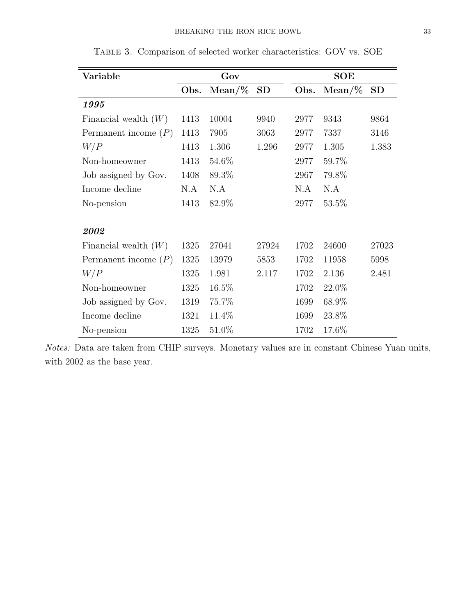| Variable               | Gov  |          |       | <b>SOE</b> |          |       |
|------------------------|------|----------|-------|------------|----------|-------|
|                        | Obs. | $Mean\%$ | SD    | Obs.       | $Mean\%$ | SD    |
| 1995                   |      |          |       |            |          |       |
| Financial wealth $(W)$ | 1413 | 10004    | 9940  | 2977       | 9343     | 9864  |
| Permanent income $(P)$ | 1413 | 7905     | 3063  | 2977       | 7337     | 3146  |
| W/P                    | 1413 | 1.306    | 1.296 | 2977       | 1.305    | 1.383 |
| Non-homeowner          | 1413 | 54.6%    |       | 2977       | 59.7%    |       |
| Job assigned by Gov.   | 1408 | 89.3%    |       | 2967       | 79.8%    |       |
| Income decline         | N.A  | N.A      |       | N.A        | N.A      |       |
| No-pension             | 1413 | 82.9%    |       | 2977       | 53.5%    |       |
|                        |      |          |       |            |          |       |
| 2002                   |      |          |       |            |          |       |
| Financial wealth $(W)$ | 1325 | 27041    | 27924 | 1702       | 24600    | 27023 |
| Permanent income $(P)$ | 1325 | 13979    | 5853  | 1702       | 11958    | 5998  |
| W/P                    | 1325 | 1.981    | 2.117 | 1702       | 2.136    | 2.481 |
| Non-homeowner          | 1325 | $16.5\%$ |       | 1702       | 22.0\%   |       |
| Job assigned by Gov.   | 1319 | 75.7%    |       | 1699       | 68.9%    |       |
| Income decline         | 1321 | 11.4%    |       | 1699       | 23.8%    |       |
| No-pension             | 1325 | 51.0%    |       | 1702       | 17.6%    |       |

Table 3. Comparison of selected worker characteristics: GOV vs. SOE

Notes: Data are taken from CHIP surveys. Monetary values are in constant Chinese Yuan units, with 2002 as the base year.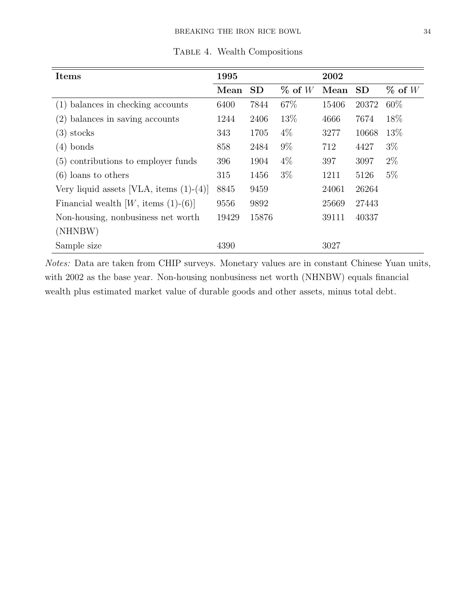| <b>Items</b>                                   | 1995  |           |           | 2002  |           |             |
|------------------------------------------------|-------|-----------|-----------|-------|-----------|-------------|
|                                                | Mean  | <b>SD</b> | $\%$ of W | Mean  | <b>SD</b> | $\%$ of $W$ |
| $(1)$ balances in checking accounts            | 6400  | 7844      | 67%       | 15406 | 20372     | 60\%        |
| $(2)$ balances in saving accounts              | 1244  | 2406      | 13\%      | 4666  | 7674      | 18%         |
| $(3)$ stocks                                   | 343   | 1705      | $4\%$     | 3277  | 10668     | 13\%        |
| $(4)$ bonds                                    | 858   | 2484      | $9\%$     | 712   | 4427      | $3\%$       |
| (5) contributions to employer funds            | 396   | 1904      | $4\%$     | 397   | 3097      | $2\%$       |
| $(6)$ loans to others                          | 315   | 1456      | $3\%$     | 1211  | 5126      | $5\%$       |
| Very liquid assets [VLA, items $(1)-(4)$ ]     | 8845  | 9459      |           | 24061 | 26264     |             |
| Financial wealth $[W, \text{ items } (1)-(6)]$ | 9556  | 9892      |           | 25669 | 27443     |             |
| Non-housing, nonbusiness net worth             | 19429 | 15876     |           | 39111 | 40337     |             |
| (NHNBW)                                        |       |           |           |       |           |             |
| Sample size                                    | 4390  |           |           | 3027  |           |             |

TABLE 4. Wealth Compositions

Notes: Data are taken from CHIP surveys. Monetary values are in constant Chinese Yuan units, with 2002 as the base year. Non-housing nonbusiness net worth (NHNBW) equals financial wealth plus estimated market value of durable goods and other assets, minus total debt.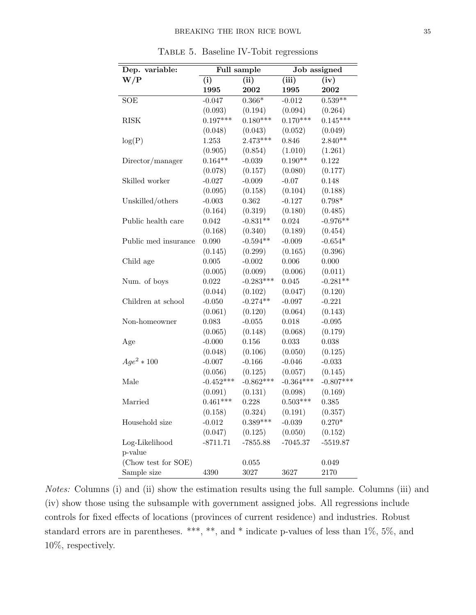| Dep. variable:       | Full sample |             | Job assigned |             |  |
|----------------------|-------------|-------------|--------------|-------------|--|
| W/P                  | (i)         | (ii)        | (iii)        | (iv)        |  |
|                      | 1995        | 2002        | 1995         | 2002        |  |
| SOE                  | $-0.047$    | $0.366*$    | $-0.012$     | $0.539**$   |  |
|                      | (0.093)     | (0.194)     | (0.094)      | (0.264)     |  |
| <b>RISK</b>          | $0.197***$  | $0.180***$  | $0.170***$   | $0.145***$  |  |
|                      | (0.048)     | (0.043)     | (0.052)      | (0.049)     |  |
| log(P)               | 1.253       | $2.473***$  | 0.846        | $2.840**$   |  |
|                      | (0.905)     | (0.854)     | (1.010)      | (1.261)     |  |
| Director/manager     | $0.164**$   | $-0.039$    | $0.190**$    | 0.122       |  |
|                      | (0.078)     | (0.157)     | (0.080)      | (0.177)     |  |
| Skilled worker       | $-0.027$    | $-0.009$    | $-0.07$      | 0.148       |  |
|                      | (0.095)     | (0.158)     | (0.104)      | (0.188)     |  |
| Unskilled/others     | $-0.003$    | 0.362       | $-0.127$     | $0.798*$    |  |
|                      | (0.164)     | (0.319)     | (0.180)      | (0.485)     |  |
| Public health care   | 0.042       | $-0.831**$  | 0.024        | $-0.976**$  |  |
|                      | (0.168)     | (0.340)     | (0.189)      | (0.454)     |  |
| Public med insurance | 0.090       | $-0.594**$  | $-0.009$     | $-0.654*$   |  |
|                      | (0.145)     | (0.299)     | (0.165)      | (0.396)     |  |
| Child age            | 0.005       | $-0.002$    | 0.006        | 0.000       |  |
|                      | (0.005)     | (0.009)     | (0.006)      | (0.011)     |  |
| Num. of boys         | 0.022       | $-0.283***$ | 0.045        | $-0.281**$  |  |
|                      | (0.044)     | (0.102)     | (0.047)      | (0.120)     |  |
| Children at school   | $-0.050$    | $-0.274**$  | $-0.097$     | $-0.221$    |  |
|                      | (0.061)     | (0.120)     | (0.064)      | (0.143)     |  |
| Non-homeowner        | 0.083       | $-0.055$    | 0.018        | $-0.095$    |  |
|                      | (0.065)     | (0.148)     | (0.068)      | (0.179)     |  |
| Age                  | $-0.000$    | 0.156       | 0.033        | 0.038       |  |
|                      | (0.048)     | (0.106)     | (0.050)      | (0.125)     |  |
| $Age^2 * 100$        | $-0.007$    | $-0.166$    | $-0.046$     | $-0.033$    |  |
|                      | (0.056)     | (0.125)     | (0.057)      | (0.145)     |  |
| Male                 | $-0.452***$ | $-0.862***$ | $-0.364***$  | $-0.807***$ |  |
|                      | (0.091)     | (0.131)     | (0.098)      | (0.169)     |  |
| Married              | $0.461***$  | 0.228       | $0.503***$   | 0.385       |  |
|                      | (0.158)     | (0.324)     | (0.191)      | (0.357)     |  |
| Household size       | $-0.012$    | $0.389***$  | $-0.039$     | $0.270*$    |  |
|                      | (0.047)     | (0.125)     | (0.050)      | (0.152)     |  |
| Log-Likelihood       | $-8711.71$  | $-7855.88$  | $-7045.37$   | $-5519.87$  |  |
| p-value              |             |             |              |             |  |
| (Chow test for SOE)  |             | 0.055       |              | 0.049       |  |
| Sample size          | 4390        | $3027\,$    | 3627         | 2170        |  |

Table 5. Baseline IV-Tobit regressions

Notes: Columns (i) and (ii) show the estimation results using the full sample. Columns (iii) and (iv) show those using the subsample with government assigned jobs. All regressions include controls for fixed effects of locations (provinces of current residence) and industries. Robust standard errors are in parentheses. \*\*\*, \*\*, and \* indicate p-values of less than 1%, 5%, and 10%, respectively.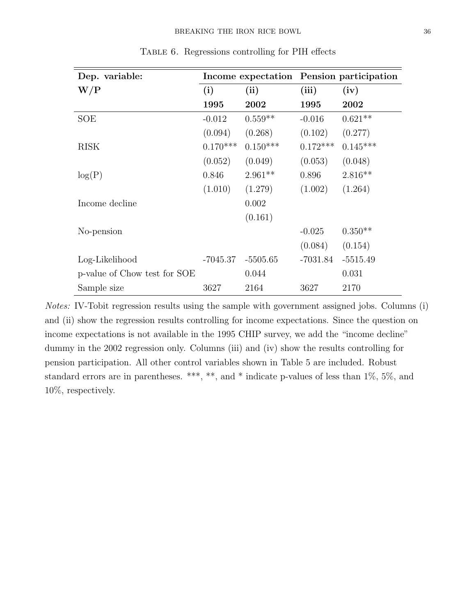| Dep. variable:               | Income expectation Pension participation |            |            |            |  |
|------------------------------|------------------------------------------|------------|------------|------------|--|
| W/P                          | (i)                                      | (ii)       | (iii)      | (iv)       |  |
|                              | 1995                                     | 2002       | 1995       | 2002       |  |
| SOE                          | $-0.012$                                 | $0.559**$  | $-0.016$   | $0.621**$  |  |
|                              | (0.094)                                  | (0.268)    | (0.102)    | (0.277)    |  |
| <b>RISK</b>                  | $0.170***$                               | $0.150***$ | $0.172***$ | $0.145***$ |  |
|                              | (0.052)                                  | (0.049)    | (0.053)    | (0.048)    |  |
| log(P)                       | 0.846                                    | $2.961**$  | 0.896      | $2.816**$  |  |
|                              | (1.010)                                  | (1.279)    | (1.002)    | (1.264)    |  |
| Income decline               |                                          | 0.002      |            |            |  |
|                              |                                          | (0.161)    |            |            |  |
| No-pension                   |                                          |            | $-0.025$   | $0.350**$  |  |
|                              |                                          |            | (0.084)    | (0.154)    |  |
| Log-Likelihood               | $-7045.37$                               | $-5505.65$ | $-7031.84$ | $-5515.49$ |  |
| p-value of Chow test for SOE |                                          | 0.044      |            | 0.031      |  |
| Sample size                  | 3627                                     | 2164       | 3627       | 2170       |  |

Table 6. Regressions controlling for PIH effects

Notes: IV-Tobit regression results using the sample with government assigned jobs. Columns (i) and (ii) show the regression results controlling for income expectations. Since the question on income expectations is not available in the 1995 CHIP survey, we add the "income decline" dummy in the 2002 regression only. Columns (iii) and (iv) show the results controlling for pension participation. All other control variables shown in Table 5 are included. Robust standard errors are in parentheses. \*\*\*, \*\*, and \* indicate p-values of less than 1\%, 5\%, and 10%, respectively.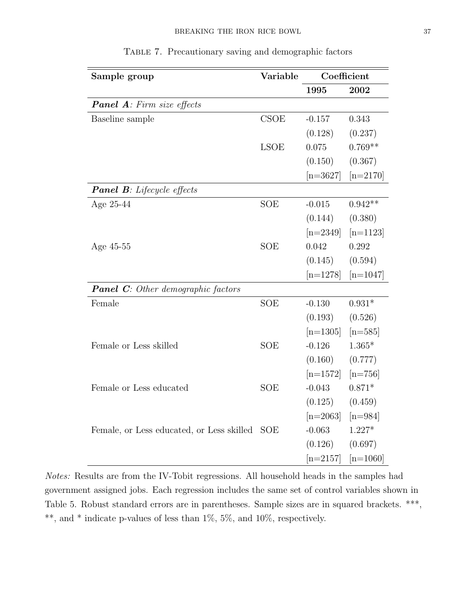| Sample group                              | Variable    |            | Coefficient |
|-------------------------------------------|-------------|------------|-------------|
|                                           |             | 1995       | 2002        |
| <b>Panel A</b> : Firm size effects        |             |            |             |
| Baseline sample                           | CSOE        | $-0.157$   | 0.343       |
|                                           |             | (0.128)    | (0.237)     |
|                                           | <b>LSOE</b> | 0.075      | $0.769**$   |
|                                           |             | (0.150)    | (0.367)     |
|                                           |             | $[n=3627]$ | $[n=2170]$  |
| <b>Panel B</b> : Lifecycle effects        |             |            |             |
| Age 25-44                                 | <b>SOE</b>  | $-0.015$   | $0.942**$   |
|                                           |             | (0.144)    | (0.380)     |
|                                           |             | $[n=2349]$ | $[n=1123]$  |
| Age 45-55                                 | <b>SOE</b>  | 0.042      | 0.292       |
|                                           |             | (0.145)    | (0.594)     |
|                                           |             | $[n=1278]$ | $[n=1047]$  |
| <b>Panel C:</b> Other demographic factors |             |            |             |
| Female                                    | <b>SOE</b>  | $-0.130$   | $0.931*$    |
|                                           |             | (0.193)    | (0.526)     |
|                                           |             | $[n=1305]$ | $[n=585]$   |
| Female or Less skilled                    | <b>SOE</b>  | $-0.126$   | $1.365*$    |
|                                           |             | (0.160)    | (0.777)     |
|                                           |             | $[n=1572]$ | $[n=756]$   |
| Female or Less educated                   | <b>SOE</b>  | $-0.043$   | $0.871*$    |
|                                           |             | (0.125)    | (0.459)     |
|                                           |             | $[n=2063]$ | $[n=984]$   |
| Female, or Less educated, or Less skilled | <b>SOE</b>  | $-0.063$   | $1.227*$    |
|                                           |             | (0.126)    | (0.697)     |
|                                           |             | $[n=2157]$ | $[n=1060]$  |

TABLE 7. Precautionary saving and demographic factors

Notes: Results are from the IV-Tobit regressions. All household heads in the samples had government assigned jobs. Each regression includes the same set of control variables shown in Table 5. Robust standard errors are in parentheses. Sample sizes are in squared brackets. \*\*\*, \*\*, and \* indicate p-values of less than 1%, 5%, and 10%, respectively.